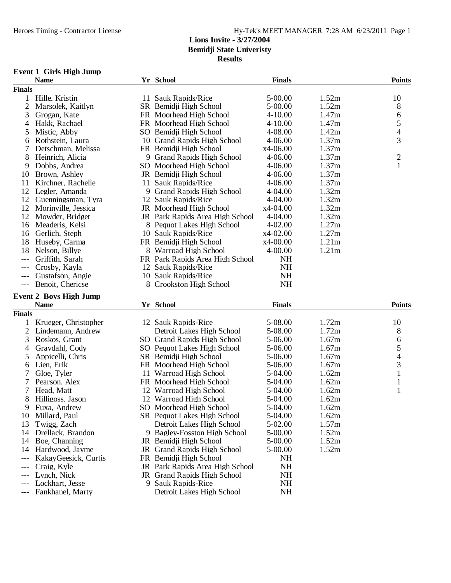**Results**

# **Event 1 Girls High Jump**

|                | <b>Name</b>                   | Yr School                          | <b>Finals</b> |                   | <b>Points</b>            |
|----------------|-------------------------------|------------------------------------|---------------|-------------------|--------------------------|
| <b>Finals</b>  |                               |                                    |               |                   |                          |
| 1              | Hille, Kristin                | 11 Sauk Rapids/Rice                | 5-00.00       | 1.52m             | 10                       |
| $\mathfrak{2}$ | Marsolek, Kaitlyn             | SR Bemidji High School             | 5-00.00       | 1.52m             | 8                        |
| 3              | Grogan, Kate                  | FR Moorhead High School            | $4 - 10.00$   | 1.47m             | 6                        |
| 4              | Hakk, Rachael                 | FR Moorhead High School            | $4 - 10.00$   | 1.47m             | 5                        |
| 5              | Mistic, Abby                  | SO Bemidji High School             | 4-08.00       | 1.42m             | 4                        |
| 6              | Rothstein, Laura              | 10 Grand Rapids High School        | 4-06.00       | 1.37m             | 3                        |
| 7              | Detschman, Melissa            | FR Bemidji High School             | x4-06.00      | 1.37m             |                          |
| 8              | Heinrich, Alicia              | 9 Grand Rapids High School         | 4-06.00       | 1.37m             | $\overline{c}$           |
| 9              | Dobbs, Andrea                 | SO Moorhead High School            | 4-06.00       | 1.37m             | $\mathbf{1}$             |
| 10             | Brown, Ashley                 | JR Bemidji High School             | 4-06.00       | 1.37m             |                          |
| 11             | Kirchner, Rachelle            | 11 Sauk Rapids/Rice                | 4-06.00       | 1.37m             |                          |
| 12             | Legler, Amanda                | 9 Grand Rapids High School         | 4-04.00       | 1.32m             |                          |
| 12             | Guenningsman, Tyra            | 12 Sauk Rapids/Rice                | 4-04.00       | 1.32m             |                          |
| 12             | Morinville, Jessica           | JR Moorhead High School            | x4-04.00      | 1.32m             |                          |
| 12             |                               |                                    | 4-04.00       | 1.32m             |                          |
|                | Mowder, Bridget               | JR Park Rapids Area High School    |               |                   |                          |
| 16             | Meaderis, Kelsi               | 8 Pequot Lakes High School         | 4-02.00       | 1.27m             |                          |
| 16             | Gerlich, Steph                | 10 Sauk Rapids/Rice                | $x4-02.00$    | 1.27m             |                          |
| 18             | Huseby, Carma                 | FR Bemidji High School             | x4-00.00      | 1.21 <sub>m</sub> |                          |
| 18             | Nelson, Billye                | 8 Warroad High School              | 4-00.00       | 1.21m             |                          |
| $---$          | Griffith, Sarah               | FR Park Rapids Area High School    | <b>NH</b>     |                   |                          |
|                | Crosby, Kayla                 | 12 Sauk Rapids/Rice                | <b>NH</b>     |                   |                          |
|                | Gustafson, Angie              | 10 Sauk Rapids/Rice                | NH            |                   |                          |
| $---$          | Benoit, Chericse              | 8 Crookston High School            | <b>NH</b>     |                   |                          |
|                | <b>Event 2 Boys High Jump</b> |                                    |               |                   |                          |
|                | <b>Name</b>                   | Yr School                          | <b>Finals</b> |                   | <b>Points</b>            |
| <b>Finals</b>  |                               |                                    |               |                   |                          |
| 1              | Krueger, Christopher          | 12 Sauk Rapids-Rice                | 5-08.00       | 1.72m             | 10                       |
| $\overline{2}$ | Lindemann, Andrew             | Detroit Lakes High School          | 5-08.00       | 1.72m             | 8                        |
| 3              | Roskos, Grant                 | SO Grand Rapids High School        | 5-06.00       | 1.67m             | 6                        |
| 4              | Gravdahl, Cody                | SO Pequot Lakes High School        | 5-06.00       | 1.67m             | 5                        |
| 5              | Appicelli, Chris              | SR Bemidji High School             | 5-06.00       | 1.67m             | $\overline{\mathcal{L}}$ |
| 6              | Lien, Erik                    | FR Moorhead High School            | 5-06.00       | 1.67m             | 3                        |
| 7              | Gloe, Tyler                   | 11 Warroad High School             | 5-04.00       | 1.62m             | $\mathbf{1}$             |
| 7              | Pearson, Alex                 | FR Moorhead High School            | 5-04.00       | 1.62m             | $\mathbf{1}$             |
| 7              | Head, Matt                    | 12 Warroad High School             | 5-04.00       | 1.62m             | $\mathbf{1}$             |
|                |                               |                                    |               |                   |                          |
| 8              | Hilligoss, Jason              | 12 Warroad High School             | 5-04.00       | 1.62m             |                          |
|                | 9 Fuxa, Andrew                | SO Moorhead High School            | 5-04.00       | 1.62m             |                          |
| 10             | Millard, Paul                 | SR Pequot Lakes High School        | 5-04.00       | 1.62m             |                          |
| 13             | Twigg, Zach                   | Detroit Lakes High School          | 5-02.00       | 1.57m             |                          |
| 14             | Drellack, Brandon             | 9 Bagley-Fosston High School       | 5-00.00       | 1.52m             |                          |
| 14             | Boe, Channing                 | JR Bemidji High School             | 5-00.00       | 1.52m             |                          |
| 14             | Hardwood, Jayme               | JR Grand Rapids High School        | 5-00.00       | 1.52m             |                          |
| ---            | KakayGeesick, Curtis          | FR Bemidji High School             | NH            |                   |                          |
|                | Craig, Kyle                   | JR Park Rapids Area High School    | <b>NH</b>     |                   |                          |
|                | Lynch, Nick                   | <b>JR</b> Grand Rapids High School | NH            |                   |                          |
|                | Lockhart, Jesse               | 9 Sauk Rapids-Rice                 | NH            |                   |                          |
|                | Fankhanel, Marty              | Detroit Lakes High School          | <b>NH</b>     |                   |                          |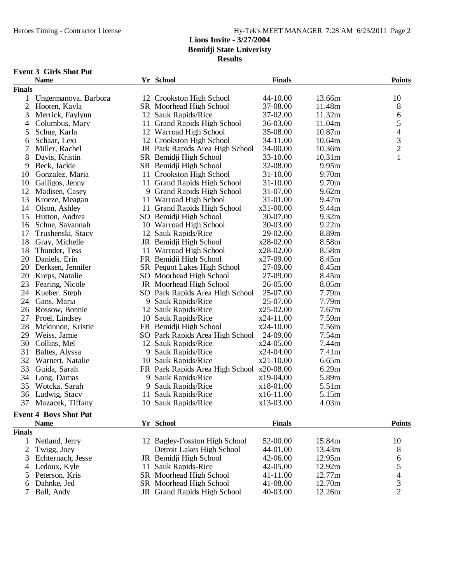**Results**

#### **Event 3 Girls Shot Put**

|                | <b>Name</b>                  |    | Yr School                                 | <b>Finals</b> |                    | <b>Points</b>  |
|----------------|------------------------------|----|-------------------------------------------|---------------|--------------------|----------------|
| <b>Finals</b>  |                              |    |                                           |               |                    |                |
| 1              | Ungermanova, Barbora         |    | 12 Crookston High School                  | 44-10.00      | 13.66m             | 10             |
| $\overline{2}$ | Hooten, Kayla                |    | SR Moorhead High School                   | 37-08.00      | 11.48m             | 8              |
| 3              | Merrick, Faylynn             |    | 12 Sauk Rapids/Rice                       | 37-02.00      | 11.32m             | 6              |
| 4              | Columbus, Mary               |    | 11 Grand Rapids High School               | 36-03.00      | 11.04m             | 5              |
| 5              | Schue, Karla                 |    | 12 Warroad High School                    | 35-08.00      | 10.87m             | $\overline{4}$ |
| 6              | Schaar, Lexi                 |    | 12 Crookston High School                  | 34-11.00      | 10.64m             |                |
| 7              | Miller, Rachel               |    | JR Park Rapids Area High School           | 34-00.00      | 10.36m             | $\frac{3}{2}$  |
| 8              | Davis, Kristin               |    | SR Bemidji High School                    | 33-10.00      | 10.31 <sub>m</sub> | $\mathbf{1}$   |
| 9              | Beck, Jackie                 |    | SR Bemidji High School                    | 32-08.00      | 9.95m              |                |
| 10             | Gonzalez, Maria              |    | 11 Crookston High School                  | 31-10.00      | 9.70m              |                |
| 10             | Galligos, Jenny              |    | 11 Grand Rapids High School               | 31-10.00      | 9.70m              |                |
| 12             | Madisen, Casey               |    | 9 Grand Rapids High School                | 31-07.00      | 9.62m              |                |
| 13             | Kroeze, Meagan               |    | 11 Warroad High School                    | 31-01.00      | 9.47m              |                |
| 14             | Olson, Ashley                |    | 11 Grand Rapids High School               | x31-00.00     | 9.44m              |                |
| 15             | Hutton, Andrea               |    | SO Bemidji High School                    | 30-07.00      | 9.32m              |                |
| 16             | Schue, Savannah              |    | 10 Warroad High School                    | 30-03.00      | 9.22m              |                |
| 17             | Trushenski, Stacy            |    | 12 Sauk Rapids/Rice                       | 29-02.00      | 8.89m              |                |
| 18             | Gray, Michelle               |    | JR Bemidji High School                    | x28-02.00     | 8.58m              |                |
| 18             | Thunder, Tess                |    | 11 Warroad High School                    | x28-02.00     | 8.58m              |                |
| 20             | Daniels, Erin                |    | FR Bemidji High School                    | x27-09.00     | 8.45m              |                |
| 20             | Derksen, Jennifer            |    | SR Pequot Lakes High School               | 27-09.00      | 8.45m              |                |
| 20             | Kreps, Natalie               |    | SO Moorhead High School                   | 27-09.00      | 8.45m              |                |
| 23             | Fearing, Nicole              |    | JR Moorhead High School                   | 26-05.00      | 8.05m              |                |
| 24             | Kueber, Steph                |    | SO Park Rapids Area High School           | 25-07.00      | 7.79m              |                |
| 24             | Gans, Maria                  |    | 9 Sauk Rapids/Rice                        | 25-07.00      | 7.79m              |                |
| 26             | Rossow, Bonnie               |    | 12 Sauk Rapids/Rice                       | $x25-02.00$   | 7.67m              |                |
| 27             | Proel, Lindsey               |    | 10 Sauk Rapids/Rice                       | $x24-11.00$   | 7.59m              |                |
| 28             | Mckinnon, Kristie            |    | FR Bemidji High School                    | $x24-10.00$   | 7.56m              |                |
| 29             | Weiss, Jamie                 |    | SO Park Rapids Area High School           | 24-09.00      | 7.54m              |                |
| 30             | Collins, Mel                 |    | 12 Sauk Rapids/Rice                       | x24-05.00     | 7.44m              |                |
| 31             | Baltes, Alyssa               |    | 9 Sauk Rapids/Rice                        | $x24-04.00$   | 7.41m              |                |
| 32             | Warnert, Natalie             |    | 10 Sauk Rapids/Rice                       | $x21-10.00$   | 6.65m              |                |
| 33             | Guida, Sarah                 |    | FR Park Rapids Area High School x20-08.00 |               | 6.29m              |                |
| 34             | Long, Damas                  | 9. | Sauk Rapids/Rice                          | x19-04.00     | 5.89m              |                |
| 35             | Wotcka, Sarah                | 9  | Sauk Rapids/Rice                          | x18-01.00     | 5.51m              |                |
| 36             | Ludwig, Stacy                | 11 | Sauk Rapids/Rice                          | x16-11.00     | 5.15m              |                |
| 37             | Mazacek, Tiffany             |    | 10 Sauk Rapids/Rice                       | x13-03.00     | 4.03m              |                |
|                |                              |    |                                           |               |                    |                |
|                | <b>Event 4 Boys Shot Put</b> |    |                                           |               |                    |                |
|                | <b>Name</b>                  |    | Yr School                                 | <b>Finals</b> |                    | <b>Points</b>  |
| <b>Finals</b>  |                              |    |                                           |               |                    |                |
| 1              | Netland, Jerry               |    | 12 Bagley-Fosston High School             | 52-00.00      | 15.84m             | 10             |
| 2              | Twigg, Joey                  |    | Detroit Lakes High School                 | 44-01.00      | 13.43m             | 8              |
| 3              | Echternach, Jesse            |    | JR Bemidii High School                    | 42-06.00      | 12.95m             | 6              |
| 4              | Ledoux, Kyle                 | 11 | <b>Sauk Rapids-Rice</b>                   | 42-05.00      | 12.92m             | 5<br>4<br>3    |
| 5              | Peterson, Kris               |    | SR Moorhead High School                   | 41-11.00      | 12.77m             |                |
| 6              | Dahnke, Jed                  |    | SR Moorhead High School                   | 41-08.00      | 12.70m             |                |
| 7              | Ball, Andy                   |    | JR Grand Rapids High School               | 40-03.00      | 12.26m             | $\overline{2}$ |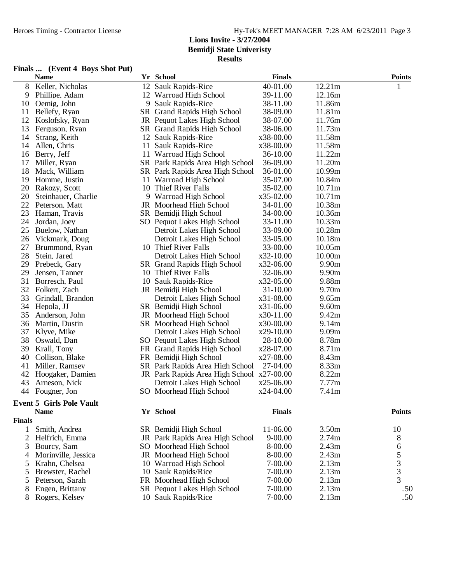#### Heroes Timing - Contractor License Hy-Tek's MEET MANAGER 7:28 AM 6/23/2011 Page 3

#### **Lions Invite - 3/27/2004 Bemidji State Univeristy Results**

#### **Finals ... (Event 4 Boys Shot Put)**

|                | <b>Name</b>                     | Yr School                       | <b>Finals</b> |                   | <b>Points</b>                              |
|----------------|---------------------------------|---------------------------------|---------------|-------------------|--------------------------------------------|
| 8              | Keller, Nicholas                | 12 Sauk Rapids-Rice             | 40-01.00      | 12.21m            |                                            |
| 9              | Phillipe, Adam                  | 12 Warroad High School          | 39-11.00      | 12.16m            |                                            |
| 10             | Oemig, John                     | 9 Sauk Rapids-Rice              | 38-11.00      | 11.86m            |                                            |
| 11             | Bellefy, Ryan                   | SR Grand Rapids High School     | 38-09.00      | 11.81m            |                                            |
| 12             | Koslofsky, Ryan                 | JR Pequot Lakes High School     | 38-07.00      | 11.76m            |                                            |
| 13             | Ferguson, Ryan                  | SR Grand Rapids High School     | 38-06.00      | 11.73m            |                                            |
| 14             | Strang, Keith                   | 12 Sauk Rapids-Rice             | x38-00.00     | 11.58m            |                                            |
| 14             | Allen, Chris                    | 11 Sauk Rapids-Rice             | x38-00.00     | 11.58m            |                                            |
| 16             | Berry, Jeff                     | 11 Warroad High School          | 36-10.00      | 11.22m            |                                            |
| 17             | Miller, Ryan                    | SR Park Rapids Area High School | 36-09.00      | 11.20m            |                                            |
| 18             | Mack, William                   | SR Park Rapids Area High School | 36-01.00      | 10.99m            |                                            |
| 19             | Homme, Justin                   | 11 Warroad High School          | 35-07.00      | 10.84m            |                                            |
| 20             | Rakozy, Scott                   | 10 Thief River Falls            | 35-02.00      | 10.71m            |                                            |
| 20             | Steinhauer, Charlie             | 9 Warroad High School           | $x35-02.00$   | 10.71m            |                                            |
| 22             | Peterson, Matt                  | JR Moorhead High School         | 34-01.00      | 10.38m            |                                            |
| 23             | Haman, Travis                   | SR Bemidji High School          | 34-00.00      | 10.36m            |                                            |
| 24             | Jordan, Joey                    | SO Pequot Lakes High School     | 33-11.00      | 10.33m            |                                            |
| 25             | Buelow, Nathan                  | Detroit Lakes High School       | 33-09.00      | 10.28m            |                                            |
| 26             | Vickmark, Doug                  | Detroit Lakes High School       | 33-05.00      | 10.18m            |                                            |
| 27             | Brummond, Ryan                  | 10 Thief River Falls            | 33-00.00      | 10.05m            |                                            |
| 28             | Stein, Jared                    | Detroit Lakes High School       | x32-10.00     | 10.00m            |                                            |
| 29             | Prebeck, Gary                   | SR Grand Rapids High School     | x32-06.00     | 9.90m             |                                            |
| 29             | Jensen, Tanner                  | 10 Thief River Falls            | 32-06.00      | 9.90m             |                                            |
| 31             | Borresch, Paul                  | 10 Sauk Rapids-Rice             | x32-05.00     | 9.88m             |                                            |
| 32             | Folkert, Zach                   | JR Bemidji High School          | 31-10.00      | 9.70m             |                                            |
| 33             | Grindall, Brandon               | Detroit Lakes High School       | x31-08.00     | 9.65m             |                                            |
| 34             | Hepola, JJ                      | SR Bemidji High School          | $x31-06.00$   | 9.60m             |                                            |
| 35             | Anderson, John                  | JR Moorhead High School         | x30-11.00     | 9.42m             |                                            |
| 36             | Martin, Dustin                  | SR Moorhead High School         | x30-00.00     | 9.14m             |                                            |
| 37             | Klyve, Mike                     | Detroit Lakes High School       | x29-10.00     | 9.09m             |                                            |
| 38             | Oswald, Dan                     | SO Pequot Lakes High School     | 28-10.00      | 8.78m             |                                            |
| 39             | Krall, Tony                     | FR Grand Rapids High School     | x28-07.00     | 8.71m             |                                            |
| 40             | Collison, Blake                 | FR Bemidji High School          | x27-08.00     | 8.43m             |                                            |
| 41             | Miller, Ramsey                  | SR Park Rapids Area High School | 27-04.00      | 8.33m             |                                            |
| 42             | Hoogaker, Damien                | JR Park Rapids Area High School | x27-00.00     | 8.22m             |                                            |
| 43             | Arneson, Nick                   | Detroit Lakes High School       | $x25-06.00$   | 7.77m             |                                            |
| 44             | Fougner, Jon                    | SO Moorhead High School         | x24-04.00     | 7.41 <sub>m</sub> |                                            |
|                | <b>Event 5 Girls Pole Vault</b> |                                 |               |                   |                                            |
|                | <b>Name</b>                     | Yr School                       | <b>Finals</b> |                   | <b>Points</b>                              |
| <b>Finals</b>  |                                 |                                 |               |                   |                                            |
| 1              | Smith, Andrea                   | SR Bemidji High School          | 11-06.00      | 3.50m             | 10                                         |
| $\overline{c}$ | Helfrich, Emma                  | JR Park Rapids Area High School | $9 - 00.00$   | 2.74m             | 8                                          |
| 3              | Bourcy, Sam                     | SO Moorhead High School         | 8-00.00       | 2.43m             | 6                                          |
| $\overline{4}$ | Morinville, Jessica             | JR Moorhead High School         | 8-00.00       | 2.43m             |                                            |
| 5              | Krahn, Chelsea                  | 10 Warroad High School          | 7-00.00       | 2.13m             | $\begin{array}{c} 5 \\ 3 \\ 3 \end{array}$ |
| 5              | Brewster, Rachel                | 10 Sauk Rapids/Rice             | 7-00.00       | 2.13m             |                                            |
| 5              | Peterson, Sarah                 | FR Moorhead High School         | 7-00.00       | 2.13m             |                                            |
| 8              | Engen, Brittany                 | SR Pequot Lakes High School     | 7-00.00       | 2.13m             | .50                                        |

8 Engen, Brittany SR Pequot Lakes High School 7-00.00 2.13m .50<br>8 Rogers, Kelsey 10 Sauk Rapids/Rice 7-00.00 2.13m .50

10 Sauk Rapids/Rice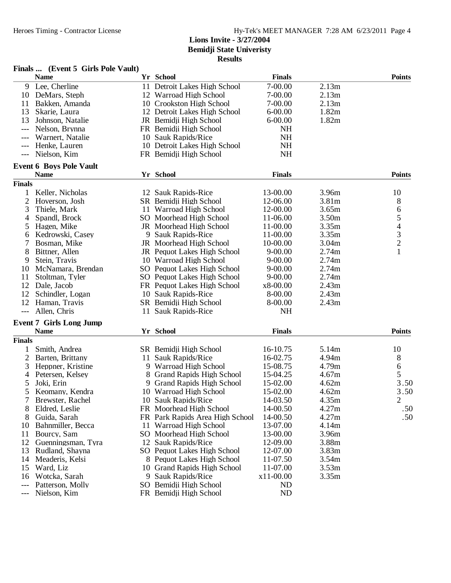|               | Finals  (Event 5 Girls Pole Vault)            |    |                                 |               |       |                                                 |
|---------------|-----------------------------------------------|----|---------------------------------|---------------|-------|-------------------------------------------------|
|               | <b>Name</b>                                   |    | Yr School                       | <b>Finals</b> |       | <b>Points</b>                                   |
|               | 9 Lee, Cherline                               |    | 11 Detroit Lakes High School    | 7-00.00       | 2.13m |                                                 |
|               | 10 DeMars, Steph                              |    | 12 Warroad High School          | 7-00.00       | 2.13m |                                                 |
| 11            | Bakken, Amanda                                |    | 10 Crookston High School        | 7-00.00       | 2.13m |                                                 |
| 13            | Skarie, Laura                                 |    | 12 Detroit Lakes High School    | $6 - 00.00$   | 1.82m |                                                 |
| 13            | Johnson, Natalie                              |    | JR Bemidji High School          | $6 - 00.00$   | 1.82m |                                                 |
| $---$         | Nelson, Brynna                                |    | FR Bemidji High School          | NH            |       |                                                 |
| ---           | Warnert, Natalie                              |    | 10 Sauk Rapids/Rice             | <b>NH</b>     |       |                                                 |
| $---$         | Henke, Lauren                                 |    | 10 Detroit Lakes High School    | <b>NH</b>     |       |                                                 |
| $---$         | Nielson, Kim                                  |    | FR Bemidji High School          | <b>NH</b>     |       |                                                 |
|               | <b>Event 6 Boys Pole Vault</b>                |    |                                 |               |       |                                                 |
|               | <b>Name</b>                                   |    | Yr School                       | <b>Finals</b> |       | <b>Points</b>                                   |
| <b>Finals</b> |                                               |    |                                 |               |       |                                                 |
| 1             | Keller, Nicholas                              |    | 12 Sauk Rapids-Rice             | 13-00.00      | 3.96m | 10                                              |
| 2             | Hoverson, Josh                                |    | SR Bemidji High School          | 12-06.00      | 3.81m | 8                                               |
| 3             | Thiele, Mark                                  |    | 11 Warroad High School          | 12-00.00      | 3.65m | 6                                               |
| 4             | Spandl, Brock                                 |    | SO Moorhead High School         | 11-06.00      | 3.50m |                                                 |
| 5             | Hagen, Mike                                   |    | JR Moorhead High School         | 11-00.00      | 3.35m |                                                 |
| 6             | Kedrowski, Casey                              |    | 9 Sauk Rapids-Rice              | 11-00.00      | 3.35m |                                                 |
| 7             | Bosman, Mike                                  |    | JR Moorhead High School         | 10-00.00      | 3.04m | $\begin{array}{c} 5 \\ 4 \\ 3 \\ 2 \end{array}$ |
| 8             | Bittner, Allen                                |    | JR Pequot Lakes High School     | $9 - 00.00$   | 2.74m | $\mathbf{1}$                                    |
| 9             | Stein, Travis                                 |    | 10 Warroad High School          | $9 - 00.00$   | 2.74m |                                                 |
| 10            | McNamara, Brendan                             |    | SO Pequot Lakes High School     | $9 - 00.00$   | 2.74m |                                                 |
| 11            | Stoltman, Tyler                               |    | SO Pequot Lakes High School     | $9 - 00.00$   | 2.74m |                                                 |
| 12            | Dale, Jacob                                   |    | FR Pequot Lakes High School     | x8-00.00      | 2.43m |                                                 |
| 12            | Schindler, Logan                              |    | 10 Sauk Rapids-Rice             | 8-00.00       | 2.43m |                                                 |
| 12            | Haman, Travis                                 |    | SR Bemidji High School          | 8-00.00       | 2.43m |                                                 |
| $---$         | Allen, Chris                                  |    | 11 Sauk Rapids-Rice             | NH            |       |                                                 |
|               |                                               |    |                                 |               |       |                                                 |
|               | <b>Event 7 Girls Long Jump</b><br><b>Name</b> |    | Yr School                       | <b>Finals</b> |       | <b>Points</b>                                   |
| <b>Finals</b> |                                               |    |                                 |               |       |                                                 |
|               |                                               |    |                                 |               |       |                                                 |
| $\mathbf{1}$  | Smith, Andrea                                 |    | SR Bemidji High School          | 16-10.75      | 5.14m | 10                                              |
| 2             | Barten, Brittany                              |    | 11 Sauk Rapids/Rice             | 16-02.75      | 4.94m | 8                                               |
| 3             | Heppner, Kristine                             |    | 9 Warroad High School           | 15-08.75      | 4.79m | 6                                               |
| 4             | Petersen, Kelsey                              |    | 8 Grand Rapids High School      | 15-04.25      | 4.67m | 5                                               |
| 5             | Joki, Erin                                    |    | 9 Grand Rapids High School      | 15-02.00      | 4.62m | 3.50                                            |
| 5             | Keomany, Kendra                               |    | 10 Warroad High School          | 15-02.00      | 4.62m | 3.50                                            |
| 7             | Brewster, Rachel                              |    | 10 Sauk Rapids/Rice             | 14-03.50      | 4.35m | $\overline{c}$                                  |
| 8             | Eldred, Leslie                                |    | FR Moorhead High School         | 14-00.50      | 4.27m | .50                                             |
| 8             | Guida, Sarah                                  |    | FR Park Rapids Area High School | 14-00.50      | 4.27m | .50                                             |
| 10            | Bahnmiller, Becca                             |    | 11 Warroad High School          | 13-07.00      | 4.14m |                                                 |
| 11            | Bourcy, Sam                                   |    | SO Moorhead High School         | 13-00.00      | 3.96m |                                                 |
| 12            | Guenningsman, Tyra                            |    | 12 Sauk Rapids/Rice             | 12-09.00      | 3.88m |                                                 |
| 13            | Rudland, Shayna                               |    | SO Pequot Lakes High School     | 12-07.00      | 3.83m |                                                 |
| 14            | Meaderis, Kelsi                               |    | 8 Pequot Lakes High School      | 11-07.50      | 3.54m |                                                 |
| 15            | Ward, Liz                                     | 10 | <b>Grand Rapids High School</b> | 11-07.00      | 3.53m |                                                 |
| 16            | Wotcka, Sarah                                 |    | 9 Sauk Rapids/Rice              | x11-00.00     | 3.35m |                                                 |
| $---$         | Patterson, Molly                              |    | SO Bemidji High School          | ND            |       |                                                 |
| ---           | Nielson, Kim                                  |    | FR Bemidji High School          | ND            |       |                                                 |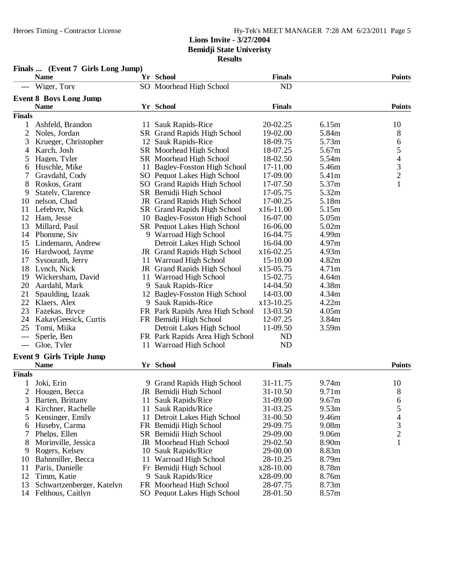# Heroes Timing - Contractor License Hy-Tek's MEET MANAGER 7:28 AM 6/23/2011 Page 5

# **Lions Invite - 3/27/2004 Bemidji State Univeristy**

**Results**

|                | <b>Name</b>                      |    | Yr School                          | <b>Finals</b> |                   | <b>Points</b>                                   |
|----------------|----------------------------------|----|------------------------------------|---------------|-------------------|-------------------------------------------------|
|                | Wiger, Tory                      |    | SO Moorhead High School            | <b>ND</b>     |                   |                                                 |
|                | <b>Event 8 Boys Long Jump</b>    |    |                                    |               |                   |                                                 |
|                | <b>Name</b>                      |    | Yr School                          | <b>Finals</b> |                   | <b>Points</b>                                   |
| <b>Finals</b>  |                                  |    |                                    |               |                   |                                                 |
| 1              | Ashfeld, Brandon                 |    | 11 Sauk Rapids-Rice                | 20-02.25      | 6.15m             | 10                                              |
| $\overline{2}$ | Noles, Jordan                    |    | SR Grand Rapids High School        | 19-02.00      | 5.84m             | 8                                               |
| 3              | Krueger, Christopher             |    | 12 Sauk Rapids-Rice                | 18-09.75      | 5.73m             | 6                                               |
| $\overline{4}$ | Karch, Josh                      |    | SR Moorhead High School            | 18-07.25      | 5.67m             |                                                 |
| 5              | Hagen, Tyler                     |    | SR Moorhead High School            | 18-02.50      | 5.54m             |                                                 |
| 6              | Huschle, Mike                    |    | 11 Bagley-Fosston High School      | 17-11.00      | 5.46m             |                                                 |
|                | Gravdahl, Cody                   |    | SO Pequot Lakes High School        | 17-09.00      | 5.41m             | $\begin{array}{c} 5 \\ 4 \\ 3 \\ 2 \end{array}$ |
| 8              | Roskos, Grant                    |    | SO Grand Rapids High School        | 17-07.50      | 5.37m             | $\mathbf{1}$                                    |
| 9              | Stately, Clarence                |    | SR Bemidji High School             | 17-05.75      | 5.32m             |                                                 |
| 10             | nelson, Chad                     |    | <b>JR</b> Grand Rapids High School | 17-00.25      | 5.18m             |                                                 |
| 11             | Lefebvre, Nick                   |    | <b>SR</b> Grand Rapids High School | x16-11.00     | 5.15m             |                                                 |
| 12             | Ham, Jesse                       |    | 10 Bagley-Fosston High School      | 16-07.00      | 5.05m             |                                                 |
| 13             | Millard, Paul                    |    | SR Pequot Lakes High School        | 16-06.00      | 5.02m             |                                                 |
| 14             | Phomme, Siv                      |    | 9 Warroad High School              | 16-04.75      | 4.99m             |                                                 |
| 15             | Lindemann, Andrew                |    | Detroit Lakes High School          | 16-04.00      | 4.97m             |                                                 |
| 16             | Hardwood, Jayme                  |    | JR Grand Rapids High School        | x16-02.25     | 4.93m             |                                                 |
| 17             | Sysourath, Jerry                 |    | 11 Warroad High School             | 15-10.00      | 4.82m             |                                                 |
| 18             | Lynch, Nick                      |    | <b>JR</b> Grand Rapids High School | x15-05.75     | 4.71 <sub>m</sub> |                                                 |
| 19             | Wickersham, David                |    | 11 Warroad High School             | 15-02.75      | 4.64m             |                                                 |
| 20             | Aardahl, Mark                    |    | 9 Sauk Rapids-Rice                 | 14-04.50      | 4.38m             |                                                 |
| 21             | Spaulding, Izaak                 |    | 12 Bagley-Fosston High School      | 14-03.00      | 4.34m             |                                                 |
| 22             | Klaers, Alex                     |    | 9 Sauk Rapids-Rice                 | x13-10.25     | 4.22m             |                                                 |
| 23             | Fazekas, Bryce                   |    | FR Park Rapids Area High School    | 13-03.50      | 4.05m             |                                                 |
| 24             | KakayGeesick, Curtis             |    | FR Bemidji High School             | 12-07.25      | 3.84m             |                                                 |
| 25             | Tomi, Miika                      |    | Detroit Lakes High School          | 11-09.50      | 3.59m             |                                                 |
| $---$          | Sperle, Ben                      |    | FR Park Rapids Area High School    | ND            |                   |                                                 |
| $---$          | Gloe, Tyler                      |    | 11 Warroad High School             | <b>ND</b>     |                   |                                                 |
|                | <b>Event 9 Girls Triple Jump</b> |    |                                    |               |                   |                                                 |
|                | <b>Name</b>                      |    | Yr School                          | <b>Finals</b> |                   | <b>Points</b>                                   |
| <b>Finals</b>  |                                  |    |                                    |               |                   |                                                 |
|                | Joki, Erin                       |    | 9 Grand Rapids High School         | 31-11.75      | 9.74m             | 10                                              |
| 2              | Hougen, Becca                    |    | JR Bemidji High School             | 31-10.50      | 9.71 <sub>m</sub> | 8                                               |
| 3              | Barten, Brittany                 |    | 11 Sauk Rapids/Rice                | 31-09.00      | 9.67m             | 6                                               |
| 4              | Kirchner, Rachelle               |    | 11 Sauk Rapids/Rice                | 31-03.25      | 9.53m             | 5                                               |
| 5              | Kensinger, Emily                 |    | 11 Detroit Lakes High School       | 31-00.50      | 9.46m             | $\overline{\mathcal{A}}$                        |
| 6              | Huseby, Carma                    |    | FR Bemidji High School             | 29-09.75      | 9.08m             | 3                                               |
| 7              | Phelps, Ellen                    |    | SR Bemidji High School             | 29-09.00      | 9.06m             | $\overline{c}$                                  |
| 8              | Morinville, Jessica              |    | JR Moorhead High School            | 29-02.50      | 8.90m             | $\mathbf{1}$                                    |
| 9              | Rogers, Kelsey                   |    | 10 Sauk Rapids/Rice                | 29-00.00      | 8.83m             |                                                 |
| 10             | Bahnmiller, Becca                | 11 | Warroad High School                | 28-10.25      | 8.79m             |                                                 |
| 11             | Paris, Danielle                  |    | Fr Bemidji High School             | x28-10.00     | 8.78m             |                                                 |
| 12             | Timm, Katie                      |    | 9 Sauk Rapids/Rice                 | x28-09.00     | 8.76m             |                                                 |
| 13             | Schwartzenberger, Katelyn        |    | FR Moorhead High School            | 28-07.75      | 8.73m             |                                                 |
| 14             | Felthous, Caitlyn                |    | SO Pequot Lakes High School        | 28-01.50      | 8.57m             |                                                 |

### **Finals ... (Event 7 Girls Long Jump)**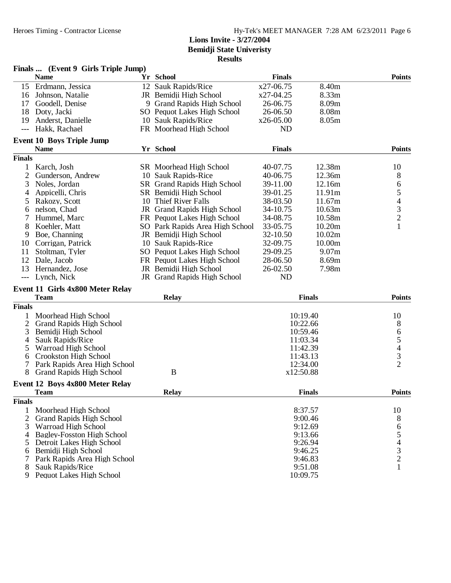|                     | Finals  (Event 9 Girls Triple Jump) |                                 |               |                   |                          |
|---------------------|-------------------------------------|---------------------------------|---------------|-------------------|--------------------------|
|                     | <b>Name</b>                         | Yr School                       | <b>Finals</b> |                   | <b>Points</b>            |
|                     | 15 Erdmann, Jessica                 | 12 Sauk Rapids/Rice             | x27-06.75     | 8.40m             |                          |
| 16                  | Johnson, Natalie                    | JR Bemidji High School          | x27-04.25     | 8.33m             |                          |
| 17                  | Goodell, Denise                     | 9 Grand Rapids High School      | 26-06.75      | 8.09m             |                          |
| 18                  | Doty, Jacki                         | SO Pequot Lakes High School     | 26-06.50      | 8.08m             |                          |
| 19                  | Anderst, Danielle                   | 10 Sauk Rapids/Rice             | x26-05.00     | 8.05m             |                          |
| $\qquad \qquad - -$ | Hakk, Rachael                       | FR Moorhead High School         | <b>ND</b>     |                   |                          |
|                     | <b>Event 10 Boys Triple Jump</b>    |                                 |               |                   |                          |
|                     | <b>Name</b>                         | Yr School                       | <b>Finals</b> |                   | <b>Points</b>            |
| <b>Finals</b>       |                                     |                                 |               |                   |                          |
| 1                   | Karch, Josh                         | SR Moorhead High School         | 40-07.75      | 12.38m            | 10                       |
| $\overline{c}$      | Gunderson, Andrew                   | 10 Sauk Rapids-Rice             | 40-06.75      | 12.36m            | 8                        |
| 3                   | Noles, Jordan                       | SR Grand Rapids High School     | 39-11.00      | 12.16m            | 6                        |
| 4                   | Appicelli, Chris                    | SR Bemidji High School          | 39-01.25      | 11.91m            | 5                        |
| 5                   | Rakozy, Scott                       | 10 Thief River Falls            | 38-03.50      | 11.67m            | $\overline{\mathcal{A}}$ |
| 6                   | nelson, Chad                        | JR Grand Rapids High School     | 34-10.75      | 10.63m            | 3                        |
| 7                   | Hummel, Marc                        | FR Pequot Lakes High School     | 34-08.75      | 10.58m            | $\overline{c}$           |
| 8                   | Koehler, Matt                       | SO Park Rapids Area High School | 33-05.75      | 10.20m            | $\mathbf{1}$             |
| 9                   | Boe, Channing                       | JR Bemidji High School          | 32-10.50      | 10.02m            |                          |
| 10                  | Corrigan, Patrick                   | 10 Sauk Rapids-Rice             | 32-09.75      | 10.00m            |                          |
|                     |                                     |                                 | 29-09.25      |                   |                          |
| 11                  | Stoltman, Tyler                     | SO Pequot Lakes High School     |               | 9.07 <sub>m</sub> |                          |
| 12                  | Dale, Jacob                         | FR Pequot Lakes High School     | 28-06.50      | 8.69m             |                          |
| 13                  | Hernandez, Jose                     | JR Bemidji High School          | 26-02.50      | 7.98m             |                          |
| $---$               | Lynch, Nick                         | JR Grand Rapids High School     | ND            |                   |                          |
|                     | Event 11 Girls 4x800 Meter Relay    |                                 |               |                   |                          |
|                     | <b>Team</b>                         | <b>Relay</b>                    |               | <b>Finals</b>     | <b>Points</b>            |
| <b>Finals</b>       |                                     |                                 |               |                   |                          |
| 1                   | Moorhead High School                |                                 |               | 10:19.40          | 10                       |
| 2                   | <b>Grand Rapids High School</b>     |                                 |               | 10:22.66          | 8                        |
| 3                   | Bemidji High School                 |                                 |               | 10:59.46          |                          |
| 4                   | Sauk Rapids/Rice                    |                                 |               | 11:03.34          | $\frac{6}{5}$            |
| 5                   | Warroad High School                 |                                 |               | 11:42.39          | $\overline{4}$           |
| 6                   | Crookston High School               |                                 |               | 11:43.13          | 3                        |
| 7                   | Park Rapids Area High School        |                                 |               | 12:34.00          | $\overline{2}$           |
| 8                   | <b>Grand Rapids High School</b>     | B                               |               | x12:50.88         |                          |
|                     | Event 12 Boys 4x800 Meter Relay     |                                 |               |                   |                          |
|                     | <b>Team</b>                         | <b>Relay</b>                    |               | <b>Finals</b>     | <b>Points</b>            |
| <b>Finals</b>       |                                     |                                 |               |                   |                          |
| 1                   | Moorhead High School                |                                 |               | 8:37.57           | 10                       |
| $\overline{2}$      | <b>Grand Rapids High School</b>     |                                 |               | 9:00.46           | 8                        |
| 3                   | Warroad High School                 |                                 |               | 9:12.69           | 6                        |
| 4                   | <b>Bagley-Fosston High School</b>   |                                 |               | 9:13.66           | 5                        |
| 5                   | Detroit Lakes High School           |                                 |               | 9:26.94           | $\overline{\mathcal{L}}$ |
| 6                   | Bemidji High School                 |                                 |               | 9:46.25           |                          |
| 7                   | Park Rapids Area High School        |                                 |               | 9:46.83           | $\frac{3}{2}$            |
| 8                   | Sauk Rapids/Rice                    |                                 |               | 9:51.08           | 1                        |
| 9                   | Pequot Lakes High School            |                                 |               | 10:09.75          |                          |
|                     |                                     |                                 |               |                   |                          |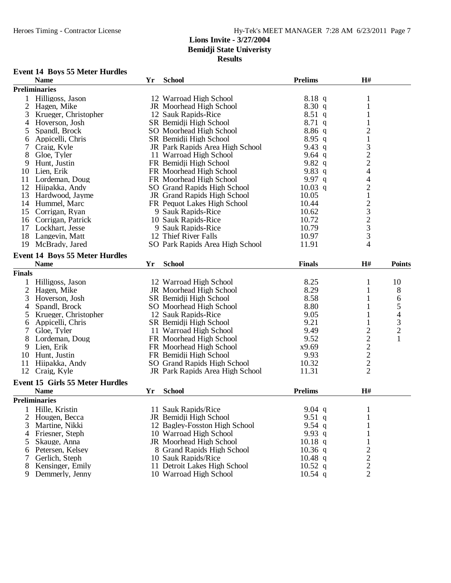#### **Results**

# **Event 14 Boys 55 Meter Hurdles**

|                | <b>Name</b>                            | Yr | <b>School</b>                   | <b>Prelims</b> | H#                                              |                                            |
|----------------|----------------------------------------|----|---------------------------------|----------------|-------------------------------------------------|--------------------------------------------|
|                | <b>Preliminaries</b>                   |    |                                 |                |                                                 |                                            |
| 1              | Hilligoss, Jason                       |    | 12 Warroad High School          | 8.18 q         | 1                                               |                                            |
| $\overline{2}$ | Hagen, Mike                            |    | <b>JR</b> Moorhead High School  | 8.30q          | 1                                               |                                            |
| 3              | Krueger, Christopher                   |    | 12 Sauk Rapids-Rice             | $8.51$ q       | 1                                               |                                            |
| 4              | Hoverson, Josh                         |    | SR Bemidji High School          | $8.71$ q       | 1                                               |                                            |
| 5              | Spandl, Brock                          |    | SO Moorhead High School         | 8.86q          | $\overline{c}$                                  |                                            |
| 6              | Appicelli, Chris                       |    | SR Bemidji High School          | $8.95$ q       | $\,1$                                           |                                            |
| 7              | Craig, Kyle                            |    | JR Park Rapids Area High School | 9.43 $q$       |                                                 |                                            |
| 8              | Gloe, Tyler                            |    | 11 Warroad High School          | 9.64 $q$       | $\begin{array}{c} 3 \\ 2 \\ 4 \end{array}$      |                                            |
| 9              | Hunt, Justin                           |    | FR Bemidji High School          | 9.82 q         |                                                 |                                            |
| 10             | Lien, Erik                             |    | FR Moorhead High School         | 9.83 $q$       |                                                 |                                            |
| 11             | Lordeman, Doug                         |    | FR Moorhead High School         | 9.97 $q$       | 4                                               |                                            |
| 12             | Hiipakka, Andy                         |    | SO Grand Rapids High School     | $10.03$ q      | $\overline{c}$                                  |                                            |
| 13             | Hardwood, Jayme                        |    | JR Grand Rapids High School     | 10.05          | $\,1$                                           |                                            |
|                | 14 Hummel, Marc                        |    | FR Pequot Lakes High School     | 10.44          |                                                 |                                            |
| 15             | Corrigan, Ryan                         |    | 9 Sauk Rapids-Rice              | 10.62          |                                                 |                                            |
| 16             | Corrigan, Patrick                      |    | 10 Sauk Rapids-Rice             | 10.72          | $\begin{array}{c} 2 \\ 3 \\ 2 \\ 3 \end{array}$ |                                            |
| 17             | Lockhart, Jesse                        |    | 9 Sauk Rapids-Rice              | 10.79          |                                                 |                                            |
| 18             | Langevin, Matt                         |    | 12 Thief River Falls            | 10.97          | 3                                               |                                            |
| 19             | McBrady, Jared                         |    | SO Park Rapids Area High School | 11.91          | 4                                               |                                            |
|                |                                        |    |                                 |                |                                                 |                                            |
|                | <b>Event 14 Boys 55 Meter Hurdles</b>  |    |                                 |                |                                                 |                                            |
|                | <b>Name</b>                            | Yr | <b>School</b>                   | <b>Finals</b>  | H#                                              | <b>Points</b>                              |
| <b>Finals</b>  |                                        |    |                                 |                |                                                 |                                            |
|                | Hilligoss, Jason                       |    | 12 Warroad High School          | 8.25           | 1                                               | 10                                         |
| $\overline{c}$ | Hagen, Mike                            |    | JR Moorhead High School         | 8.29           | 1                                               | 8                                          |
| 3              | Hoverson, Josh                         |    | SR Bemidji High School          | 8.58           | 1                                               | 6                                          |
| 4              | Spandl, Brock                          |    | SO Moorhead High School         | 8.80           | 1                                               | 5                                          |
| 5              | Krueger, Christopher                   |    | 12 Sauk Rapids-Rice             | 9.05           | 1                                               |                                            |
| 6              | Appicelli, Chris                       |    | SR Bemidji High School          | 9.21           | 1                                               |                                            |
| 7              | Gloe, Tyler                            |    | 11 Warroad High School          | 9.49           |                                                 | $\begin{array}{c} 4 \\ 3 \\ 2 \end{array}$ |
| 8              | Lordeman, Doug                         |    | FR Moorhead High School         | 9.52           |                                                 | $\mathbf{1}$                               |
| 9              | Lien, Erik                             |    | FR Moorhead High School         | x9.69          |                                                 |                                            |
| 10             | Hunt, Justin                           |    | FR Bemidji High School          | 9.93           |                                                 |                                            |
| 11             | Hiipakka, Andy                         |    | SO Grand Rapids High School     | 10.32          |                                                 |                                            |
| 12             | Craig, Kyle                            |    | JR Park Rapids Area High School | 11.31          | $\frac{2}{2}$ $\frac{2}{2}$ $\frac{2}{2}$       |                                            |
|                |                                        |    |                                 |                |                                                 |                                            |
|                | <b>Event 15 Girls 55 Meter Hurdles</b> |    |                                 |                |                                                 |                                            |
|                | <b>Name</b>                            | Yr | <b>School</b>                   | <b>Prelims</b> | H#                                              |                                            |
|                | <b>Preliminaries</b>                   |    |                                 |                |                                                 |                                            |
|                | 1 Hille, Kristin                       |    | 11 Sauk Rapids/Rice             | 9.04 $q$       | $\mathbf{1}$                                    |                                            |
| 2              | Hougen, Becca                          |    | JR Bemidii High School          | 9.51 $q$       | 1                                               |                                            |
| 3              | Martine, Nikki                         |    | 12 Bagley-Fosston High School   | 9.54 $q$       |                                                 |                                            |
| 4              | Friesner, Steph                        |    | 10 Warroad High School          | 9.93 q         |                                                 |                                            |
| 5              | Skauge, Anna                           |    | JR Moorhead High School         | $10.18$ q      |                                                 |                                            |
| 6              | Petersen, Kelsey                       |    | 8 Grand Rapids High School      | $10.36$ q      | $\overline{\mathbf{c}}$                         |                                            |
| 7              | Gerlich, Steph                         |    | 10 Sauk Rapids/Rice             | $10.48$ q      |                                                 |                                            |
| 8              | Kensinger, Emily                       |    | 11 Detroit Lakes High School    | $10.52$ q      | $\frac{2}{2}$                                   |                                            |
| 9              | Demmerly, Jenny                        |    | 10 Warroad High School          | $10.54$ q      | $\overline{2}$                                  |                                            |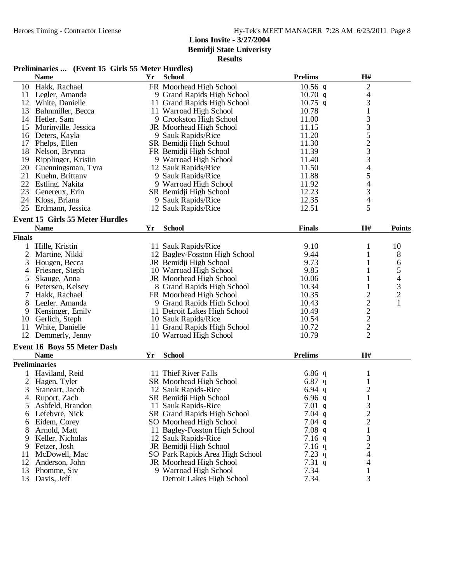**Bemidji State Univeristy**

| Preliminaries  (Event 15 Girls 55 Meter Hurdles) |  |  |  |
|--------------------------------------------------|--|--|--|
|--------------------------------------------------|--|--|--|

|                | <b>Name</b>                            | Yr | <b>School</b>                      | <b>Prelims</b> | H#                                              |                          |
|----------------|----------------------------------------|----|------------------------------------|----------------|-------------------------------------------------|--------------------------|
|                | 10 Hakk, Rachael                       |    | FR Moorhead High School            | $10.56$ q      | $\overline{c}$                                  |                          |
| 11             | Legler, Amanda                         |    | 9 Grand Rapids High School         | $10.70$ q      | 4                                               |                          |
| 12             | White, Danielle                        |    | 11 Grand Rapids High School        | $10.75$ q      | $\mathfrak{Z}$                                  |                          |
| 13             | Bahnmiller, Becca                      |    | 11 Warroad High School             | 10.78          | $\,1\,$                                         |                          |
| 14             | Hetler, Sam                            |    | 9 Crookston High School            | 11.00          | $\mathfrak{Z}$                                  |                          |
| 15             | Morinville, Jessica                    |    | JR Moorhead High School            | 11.15          |                                                 |                          |
| 16             | Deters, Kayla                          |    | 9 Sauk Rapids/Rice                 | 11.20          | $\begin{array}{c} 3 \\ 5 \\ 2 \\ 3 \end{array}$ |                          |
| 17             | Phelps, Ellen                          |    | SR Bemidji High School             | 11.30          |                                                 |                          |
| 18             | Nelson, Brynna                         |    | FR Bemidji High School             | 11.39          |                                                 |                          |
| 19             | Ripplinger, Kristin                    |    | 9 Warroad High School              | 11.40          | $\overline{\mathbf{3}}$                         |                          |
|                | 20 Guenningsman, Tyra                  |    | 12 Sauk Rapids/Rice                | 11.50          | $\overline{4}$                                  |                          |
|                | 21 Kuehn, Brittany                     |    | 9 Sauk Rapids/Rice                 | 11.88          | 5                                               |                          |
|                | 22 Estling, Nakita                     |    | 9 Warroad High School              | 11.92          |                                                 |                          |
| 23             | Genereux, Erin                         |    | SR Bemidji High School             | 12.23          | $rac{4}{3}$                                     |                          |
| 24             | Kloss, Briana                          |    | 9 Sauk Rapids/Rice                 | 12.35          | $\overline{\mathcal{A}}$                        |                          |
| 25             | Erdmann, Jessica                       |    | 12 Sauk Rapids/Rice                | 12.51          | 5                                               |                          |
|                | <b>Event 15 Girls 55 Meter Hurdles</b> |    |                                    |                |                                                 |                          |
|                | <b>Name</b>                            | Yr | <b>School</b>                      | <b>Finals</b>  | H#                                              | <b>Points</b>            |
| <b>Finals</b>  |                                        |    |                                    |                |                                                 |                          |
| 1              | Hille, Kristin                         |    | 11 Sauk Rapids/Rice                | 9.10           | 1                                               | 10                       |
| $\overline{2}$ | Martine, Nikki                         |    | 12 Bagley-Fosston High School      | 9.44           | 1                                               | $8\,$                    |
|                |                                        |    |                                    | 9.73           |                                                 |                          |
| 3              | Hougen, Becca                          |    | JR Bemidji High School             | 9.85           | 1<br>1                                          | 6<br>5                   |
| 4              | Friesner, Steph                        |    | 10 Warroad High School             |                |                                                 |                          |
| 5              | Skauge, Anna                           |    | JR Moorhead High School            | 10.06          | $\mathbf{1}$                                    | $\overline{\mathcal{A}}$ |
| 6              | Petersen, Kelsey                       |    | 8 Grand Rapids High School         | 10.34          | $\mathbf{1}$                                    | 3                        |
| 7              | Hakk, Rachael                          |    | FR Moorhead High School            | 10.35          | $\overline{c}$                                  | $\overline{c}$           |
| 8              | Legler, Amanda                         |    | 9 Grand Rapids High School         | 10.43          | $\overline{c}$                                  | $\mathbf{1}$             |
| 9              | Kensinger, Emily                       |    | 11 Detroit Lakes High School       | 10.49          | $\frac{2}{2}$                                   |                          |
| 10             | Gerlich, Steph                         |    | 10 Sauk Rapids/Rice                | 10.54          |                                                 |                          |
| 11             | White, Danielle                        |    | 11 Grand Rapids High School        | 10.72          | $\overline{c}$                                  |                          |
| 12             | Demmerly, Jenny                        |    | 10 Warroad High School             | 10.79          | $\overline{2}$                                  |                          |
|                | Event 16 Boys 55 Meter Dash            |    |                                    |                |                                                 |                          |
|                | <b>Name</b>                            | Yr | <b>School</b>                      | <b>Prelims</b> | H#                                              |                          |
|                | <b>Preliminaries</b>                   |    |                                    |                |                                                 |                          |
|                | Haviland, Reid                         |    | 11 Thief River Falls               | 6.86 $q$       | $\mathbf{1}$                                    |                          |
| $\overline{2}$ | Hagen, Tyler                           |    | SR Moorhead High School            | 6.87 $q$       | $\mathbf{1}$                                    |                          |
| 3              | Staneart, Jacob                        |    | 12 Sauk Rapids-Rice                | 6.94 $q$       | $\overline{c}$                                  |                          |
| 4              | Ruport, Zach                           |    | SR Bemidji High School             | 6.96q          | $\mathbf{1}$                                    |                          |
| 5              | Ashfeld, Brandon                       |    | 11 Sauk Rapids-Rice                | 7.01 $q$       | 3                                               |                          |
| 6              | Lefebvre, Nick                         |    | <b>SR Grand Rapids High School</b> | $7.04$ q       | $\overline{c}$                                  |                          |
| 6              | Eidem, Corey                           |    | SO Moorhead High School            | $7.04$ q       | $\mathbf{2}$                                    |                          |
| 8              | Arnold, Matt                           |    | 11 Bagley-Fosston High School      | $7.08$ q       | $\mathbf{1}$                                    |                          |
| 9              | Keller, Nicholas                       |    | 12 Sauk Rapids-Rice                | $7.16$ q       | 3                                               |                          |
| 9              | Fetzer, Josh                           |    | JR Bemidji High School             | $7.16$ q       | $\overline{c}$                                  |                          |
| 11             | McDowell, Mac                          |    | SO Park Rapids Area High School    | 7.23 $q$       | $\overline{\mathcal{A}}$                        |                          |
| 12             | Anderson, John                         |    | JR Moorhead High School            | 7.31 $q$       | 4                                               |                          |
| 13             | Phomme, Siv                            |    | 9 Warroad High School              | 7.34           | 1                                               |                          |
| 13             | Davis, Jeff                            |    | Detroit Lakes High School          | 7.34           | 3                                               |                          |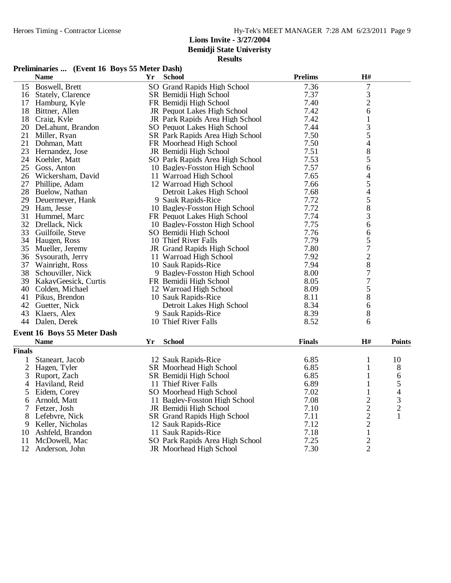**Bemidji State Univeristy**

| Preliminaries  (Event 16 Boys 55 Meter Dash) |  |  |
|----------------------------------------------|--|--|
|                                              |  |  |

|                | <b>Name</b>                       | Yr | <b>School</b>                   | <b>Prelims</b> | H#               |                          |
|----------------|-----------------------------------|----|---------------------------------|----------------|------------------|--------------------------|
|                | 15 Boswell, Brett                 |    | SO Grand Rapids High School     | 7.36           | $\overline{7}$   |                          |
|                | 16 Stately, Clarence              |    | SR Bemidji High School          | 7.37           | 3                |                          |
| 17             | Hamburg, Kyle                     |    | FR Bemidji High School          | 7.40           | $\overline{2}$   |                          |
| 18             | Bittner, Allen                    |    | JR Pequot Lakes High School     | 7.42           | 6                |                          |
| 18             | Craig, Kyle                       |    | JR Park Rapids Area High School | 7.42           | 1                |                          |
| 20             | DeLahunt, Brandon                 |    | SO Pequot Lakes High School     | 7.44           | 3                |                          |
| 21             | Miller. Rvan                      |    | SR Park Rapids Area High School | 7.50           | 5                |                          |
| 21             | Dohman, Matt                      |    | FR Moorhead High School         | 7.50           | 4                |                          |
| 23             | Hernandez, Jose                   |    | JR Bemidji High School          | 7.51           | 8                |                          |
| 24             | Koehler, Matt                     |    | SO Park Rapids Area High School | 7.53           | 5                |                          |
| 25             | Goss, Anton                       |    | 10 Bagley-Fosston High School   | 7.57           | 6                |                          |
| 26             | Wickersham, David                 |    | 11 Warroad High School          | 7.65           | 4                |                          |
| 27             | Phillipe, Adam                    |    | 12 Warroad High School          | 7.66           | 5                |                          |
| 28             | Buelow, Nathan                    |    | Detroit Lakes High School       | 7.68           | 4                |                          |
| 29             | Deuermeyer, Hank                  |    | 9 Sauk Rapids-Rice              | 7.72           | 5                |                          |
|                | 29 Ham, Jesse                     |    | 10 Bagley-Fosston High School   | 7.72           | 8                |                          |
| 31             | Hummel, Marc                      |    | FR Pequot Lakes High School     | 7.74           | 3                |                          |
| 32             | Drellack, Nick                    |    | 10 Bagley-Fosston High School   | 7.75           | 6                |                          |
| 33             | Guilfoile, Steve                  |    | SO Bemidji High School          | 7.76           | 6                |                          |
|                | 34 Haugen, Ross                   |    | 10 Thief River Falls            | 7.79           | 5                |                          |
| 35             | Mueller, Jeremy                   |    | JR Grand Rapids High School     | 7.80           | $\overline{7}$   |                          |
| 36             | Sysourath, Jerry                  |    | 11 Warroad High School          | 7.92           | $\mathbf{2}$     |                          |
| 37             | Wainright, Ross                   |    | 10 Sauk Rapids-Rice             | 7.94           | 8                |                          |
| 38             | Schouviller, Nick                 |    | 9 Bagley-Fosston High School    | 8.00           | 7                |                          |
| 39             | KakayGeesick, Curtis              |    | FR Bemidji High School          | 8.05           | $\boldsymbol{7}$ |                          |
| 40             |                                   |    | 12 Warroad High School          | 8.09           | 5                |                          |
| 41             | Colden, Michael<br>Pikus, Brendon |    | 10 Sauk Rapids-Rice             | 8.11           | 8                |                          |
|                |                                   |    |                                 | 8.34           |                  |                          |
| 42             | Guetter, Nick                     |    | Detroit Lakes High School       |                | 6                |                          |
| 43             | Klaers, Alex                      |    | 9 Sauk Rapids-Rice              | 8.39           | 8                |                          |
|                | 44 Dalen, Derek                   |    | 10 Thief River Falls            | 8.52           | 6                |                          |
|                | Event 16 Boys 55 Meter Dash       |    |                                 |                |                  |                          |
|                | <b>Name</b>                       | Yr | <b>School</b>                   | <b>Finals</b>  | H#               | <b>Points</b>            |
| <b>Finals</b>  |                                   |    |                                 |                |                  |                          |
| 1              | Staneart, Jacob                   |    | 12 Sauk Rapids-Rice             | 6.85           | 1                | 10                       |
| $\overline{2}$ | Hagen, Tyler                      |    | SR Moorhead High School         | 6.85           | $\mathbf{1}$     | 8                        |
| 3              | Ruport, Zach                      |    | SR Bemidji High School          | 6.85           | 1                | 6                        |
| 4              | Haviland, Reid                    |    | 11 Thief River Falls            | 6.89           | 1                | 5                        |
| 5              | Eidem, Corey                      |    | SO Moorhead High School         | 7.02           | 1                | $\overline{\mathcal{A}}$ |
| 6              | Arnold, Matt                      |    | 11 Bagley-Fosston High School   | 7.08           | $\overline{2}$   | 3                        |
| 7              | Fetzer, Josh                      |    | JR Bemidji High School          | 7.10           | $\overline{c}$   | $\mathbf{2}$             |
| 8              | Lefebvre, Nick                    |    | SR Grand Rapids High School     | 7.11           | $\overline{2}$   | 1                        |
| 9              | Keller, Nicholas                  |    | 12 Sauk Rapids-Rice             | 7.12           | $\overline{2}$   |                          |
| 10             | Ashfeld, Brandon                  |    | 11 Sauk Rapids-Rice             | 7.18           | $\mathbf{1}$     |                          |
| 11             | McDowell, Mac                     |    | SO Park Rapids Area High School | 7.25           | $\overline{2}$   |                          |
| 12             | Anderson, John                    |    | JR Moorhead High School         | 7.30           | $\overline{2}$   |                          |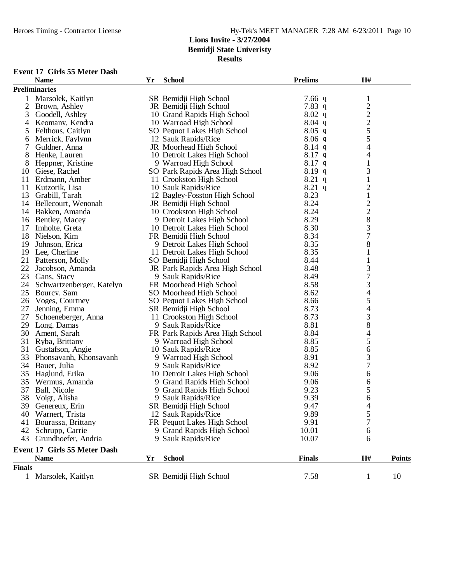**Results**

## **Event 17 Girls 55 Meter Dash**

|               | <b>Name</b>                  | Yr | <b>School</b>                   | <b>Prelims</b> | H#                                              |               |
|---------------|------------------------------|----|---------------------------------|----------------|-------------------------------------------------|---------------|
|               | <b>Preliminaries</b>         |    |                                 |                |                                                 |               |
| 1             | Marsolek, Kaitlyn            |    | SR Bemidji High School          | 7.66 $q$       | $\mathbf{1}$                                    |               |
| 2             | Brown, Ashley                |    | JR Bemidji High School          | 7.83 $q$       |                                                 |               |
| 3             | Goodell, Ashley              |    | 10 Grand Rapids High School     | $8.02$ q       | $\begin{array}{c} 2 \\ 2 \\ 2 \\ 5 \end{array}$ |               |
| 4             | Keomany, Kendra              |    | 10 Warroad High School          | $8.04$ q       |                                                 |               |
| 5             | Felthous, Caitlyn            |    | SO Pequot Lakes High School     | $8.05$ q       |                                                 |               |
| 6             | Merrick, Faylynn             |    | 12 Sauk Rapids/Rice             | $8.06$ q       | 5                                               |               |
| 7             | Guldner, Anna                |    | JR Moorhead High School         | $8.14$ q       | 4                                               |               |
| 8             | Henke, Lauren                |    | 10 Detroit Lakes High School    | $8.17$ q       | 4                                               |               |
| 8             | Heppner, Kristine            |    | 9 Warroad High School           | $8.17$ q       | 1                                               |               |
| 10            | Giese, Rachel                |    | SO Park Rapids Area High School | $8.19\ q$      | 3                                               |               |
| 11            | Erdmann, Amber               |    | 11 Crookston High School        | $8.21$ q       | $\mathbf{1}$                                    |               |
| 11            | Kutzorik, Lisa               |    | 10 Sauk Rapids/Rice             | $8.21$ q       | $\overline{c}$                                  |               |
| 13            | Grabill, Tarah               |    | 12 Bagley-Fosston High School   | 8.23           | $\mathbf{1}$                                    |               |
| 14            | Bellecourt, Wenonah          |    | JR Bemidji High School          | 8.24           |                                                 |               |
| 14            | Bakken, Amanda               |    | 10 Crookston High School        | 8.24           | $\frac{2}{2}$                                   |               |
| 16            | Bentley, Macey               |    | 9 Detroit Lakes High School     | 8.29           | 8                                               |               |
| 17            |                              |    |                                 | 8.30           | 3                                               |               |
|               | Imholte, Greta               |    | 10 Detroit Lakes High School    |                | $\overline{7}$                                  |               |
| 18            | Nielson, Kim                 |    | FR Bemidji High School          | 8.34<br>8.35   |                                                 |               |
| 19            | Johnson, Erica               |    | 9 Detroit Lakes High School     |                | 8                                               |               |
| 19            | Lee, Cherline                |    | 11 Detroit Lakes High School    | 8.35           |                                                 |               |
| 21            | Patterson, Molly             |    | SO Bemidji High School          | 8.44           |                                                 |               |
| 22            | Jacobson, Amanda             |    | JR Park Rapids Area High School | 8.48           | 3                                               |               |
| 23            | Gans, Stacy                  |    | 9 Sauk Rapids/Rice              | 8.49           | $\overline{7}$                                  |               |
| 24            | Schwartzenberger, Katelyn    |    | FR Moorhead High School         | 8.58           | $\mathfrak{Z}$                                  |               |
| 25            | Bourcy, Sam                  |    | SO Moorhead High School         | 8.62           | 4                                               |               |
| 26            | Voges, Courtney              |    | SO Pequot Lakes High School     | 8.66           | 5                                               |               |
| 27            | Jenning, Emma                |    | SR Bemidji High School          | 8.73           | 4                                               |               |
| 27            | Schoeneberger, Anna          |    | 11 Crookston High School        | 8.73           | 3                                               |               |
| 29            | Long, Damas                  |    | 9 Sauk Rapids/Rice              | 8.81           | 8                                               |               |
| 30            | Ament, Sarah                 |    | FR Park Rapids Area High School | 8.84           | 4                                               |               |
| 31            | Ryba, Brittany               |    | 9 Warroad High School           | 8.85           | 5                                               |               |
| 31            | Gustafson, Angie             |    | 10 Sauk Rapids/Rice             | 8.85           | 6                                               |               |
| 33            | Phonsavanh, Khonsavanh       |    | 9 Warroad High School           | 8.91           | 3                                               |               |
| 34            | Bauer, Julia                 |    | 9 Sauk Rapids/Rice              | 8.92           | $\overline{7}$                                  |               |
| 35            | Haglund, Erika               |    | 10 Detroit Lakes High School    | 9.06           | 6                                               |               |
| 35            | Wermus, Amanda               |    | 9 Grand Rapids High School      | 9.06           | 6                                               |               |
| 37            | Ball, Nicole                 |    | 9 Grand Rapids High School      | 9.23           | 5                                               |               |
| 38            | Voigt, Alisha                |    | 9 Sauk Rapids/Rice              | 9.39           | 6                                               |               |
|               | 39 Genereux, Erin            |    | SR Bemidji High School          | 9.47           | 4                                               |               |
| 40            | Warnert, Trista              |    | 12 Sauk Rapids/Rice             | 9.89           | 5                                               |               |
| 41            | Bourassa, Brittany           |    | FR Pequot Lakes High School     | 9.91           | 7                                               |               |
| 42            | Schrupp, Carrie              |    | 9 Grand Rapids High School      | 10.01          | 6                                               |               |
| 43            | Grundhoefer, Andria          |    | 9 Sauk Rapids/Rice              | 10.07          | 6                                               |               |
|               | Event 17 Girls 55 Meter Dash |    |                                 |                |                                                 |               |
|               | <b>Name</b>                  | Yr | <b>School</b>                   | <b>Finals</b>  | H#                                              | <b>Points</b> |
| <b>Finals</b> |                              |    |                                 |                |                                                 |               |
|               | 1 Marsolek, Kaitlyn          |    | SR Bemidji High School          | 7.58           | $\mathbf{1}$                                    | 10            |
|               |                              |    |                                 |                |                                                 |               |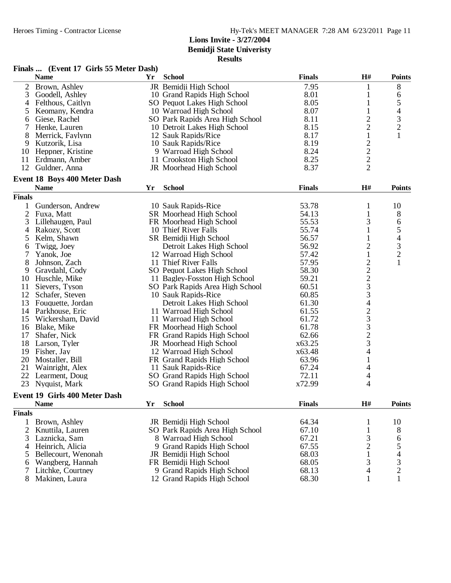|                | Finals  (Event 17 Girls 55 Meter Dash) |    |                                 |               |                                                |                                            |
|----------------|----------------------------------------|----|---------------------------------|---------------|------------------------------------------------|--------------------------------------------|
|                | <b>Name</b>                            | Yr | <b>School</b>                   | <b>Finals</b> | H#                                             | <b>Points</b>                              |
| $\overline{2}$ | Brown, Ashley                          |    | JR Bemidji High School          | 7.95          | 1                                              | 8                                          |
| 3              | Goodell, Ashley                        |    | 10 Grand Rapids High School     | 8.01          | 1                                              | 6                                          |
| 4              | Felthous, Caitlyn                      |    | SO Pequot Lakes High School     | 8.05          | $\mathbf{1}$                                   | 5                                          |
| 5              | Keomany, Kendra                        |    | 10 Warroad High School          | 8.07          | $\mathbf{1}$                                   |                                            |
| 6              | Giese, Rachel                          |    | SO Park Rapids Area High School | 8.11          |                                                | $\begin{array}{c} 4 \\ 3 \\ 2 \end{array}$ |
| 7              | Henke, Lauren                          |    | 10 Detroit Lakes High School    | 8.15          | $\frac{2}{2}$                                  |                                            |
| 8              | Merrick, Faylynn                       |    | 12 Sauk Rapids/Rice             | 8.17          | $\mathbf{1}$                                   | $\mathbf{1}$                               |
| 9              | Kutzorik, Lisa                         |    | 10 Sauk Rapids/Rice             | 8.19          |                                                |                                            |
| 10             | Heppner, Kristine                      |    | 9 Warroad High School           | 8.24          | $\frac{2}{2}$                                  |                                            |
| 11             | Erdmann, Amber                         |    | 11 Crookston High School        | 8.25          | $\overline{c}$                                 |                                            |
| 12             | Guldner, Anna                          |    | JR Moorhead High School         | 8.37          | $\overline{2}$                                 |                                            |
|                | <b>Event 18 Boys 400 Meter Dash</b>    |    |                                 |               |                                                |                                            |
|                | <b>Name</b>                            | Yr | <b>School</b>                   | <b>Finals</b> | $\mathbf{H}$ #                                 | <b>Points</b>                              |
| <b>Finals</b>  |                                        |    |                                 |               |                                                |                                            |
| 1              | Gunderson, Andrew                      |    | 10 Sauk Rapids-Rice             | 53.78         | 1                                              | 10                                         |
| $\mathbf{2}$   | Fuxa, Matt                             |    | SR Moorhead High School         | 54.13         | 1                                              | 8                                          |
| 3              | Lillehaugen, Paul                      |    | FR Moorhead High School         | 55.53         | 3                                              | 6                                          |
| 4              | Rakozy, Scott                          |    | 10 Thief River Falls            | 55.74         | $\mathbf{1}% \in\mathbb{Z}_{+}^{d}[z,\bar{z}]$ | 5                                          |
| 5              | Kelm, Shawn                            |    | SR Bemidji High School          | 56.57         | 1                                              |                                            |
| 6              | Twigg, Joey                            |    | Detroit Lakes High School       | 56.92         | $\overline{c}$                                 | $\begin{array}{c} 4 \\ 3 \\ 2 \end{array}$ |
| 7              | Yanok, Joe                             |    | 12 Warroad High School          | 57.42         | 1                                              |                                            |
| 8              | Johnson, Zach                          |    | 11 Thief River Falls            | 57.95         |                                                | $\mathbf{1}$                               |
| 9              | Gravdahl, Cody                         |    | SO Pequot Lakes High School     | 58.30         | $\frac{2}{2}$                                  |                                            |
| 10             | Huschle, Mike                          |    | 11 Bagley-Fosston High School   | 59.21         |                                                |                                            |
| 11             | Sievers, Tyson                         |    | SO Park Rapids Area High School | 60.51         | $\frac{2}{3}$                                  |                                            |
| 12             | Schafer, Steven                        |    | 10 Sauk Rapids-Rice             | 60.85         |                                                |                                            |
| 13             | Fouquette, Jordan                      |    | Detroit Lakes High School       | 61.30         | $\overline{\mathcal{L}}$                       |                                            |
| 14             | Parkhouse, Eric                        |    | 11 Warroad High School          | 61.55         |                                                |                                            |
| 15             | Wickersham, David                      |    | 11 Warroad High School          | 61.72         | $\frac{2}{3}$                                  |                                            |
| 16             | Blake, Mike                            |    | FR Moorhead High School         | 61.78         |                                                |                                            |
| 17             | Shafer, Nick                           |    | FR Grand Rapids High School     | 62.66         |                                                |                                            |
| 18             | Larson, Tyler                          |    | JR Moorhead High School         | x63.25        | $\begin{array}{c} 3 \\ 2 \\ 3 \end{array}$     |                                            |
| 19             | Fisher, Jay                            |    | 12 Warroad High School          | x63.48        | $\overline{\mathcal{L}}$                       |                                            |
| 20             | Mostaller, Bill                        |    | FR Grand Rapids High School     | 63.96         | 1                                              |                                            |
| 21             | Wainright, Alex                        |    | 11 Sauk Rapids-Rice             | 67.24         | 4                                              |                                            |
| 22             | Learment, Doug                         |    | SO Grand Rapids High School     | 72.11         | 4                                              |                                            |
| 23             | Nyquist, Mark                          |    | SO Grand Rapids High School     | x72.99        | 4                                              |                                            |
|                | Event 19 Girls 400 Meter Dash          |    |                                 |               |                                                |                                            |
|                | <b>Name</b>                            | Yr | <b>School</b>                   | <b>Finals</b> | H#                                             | <b>Points</b>                              |
| <b>Finals</b>  |                                        |    |                                 |               |                                                |                                            |
| 1              | Brown, Ashley                          |    | JR Bemidji High School          | 64.34         | 1                                              | 10                                         |
| 2              | Knuttila, Lauren                       |    | SO Park Rapids Area High School | 67.10         | 1                                              | 8                                          |
| 3              | Laznicka, Sam                          |    | 8 Warroad High School           | 67.21         | 3                                              | 6                                          |
| 4              | Heinrich, Alicia                       |    | 9 Grand Rapids High School      | 67.55         | $\overline{c}$                                 | 5                                          |
| 5              | Bellecourt, Wenonah                    |    | JR Bemidji High School          | 68.03         | 1                                              |                                            |
| 6              | Wangberg, Hannah                       |    | FR Bemidji High School          | 68.05         | 3                                              | $rac{4}{3}$                                |
|                | Litchke, Courtney                      |    | 9 Grand Rapids High School      | 68.13         | 4                                              | $\mathbf{2}$                               |
| 8              | Makinen, Laura                         |    | 12 Grand Rapids High School     | 68.30         | 1                                              |                                            |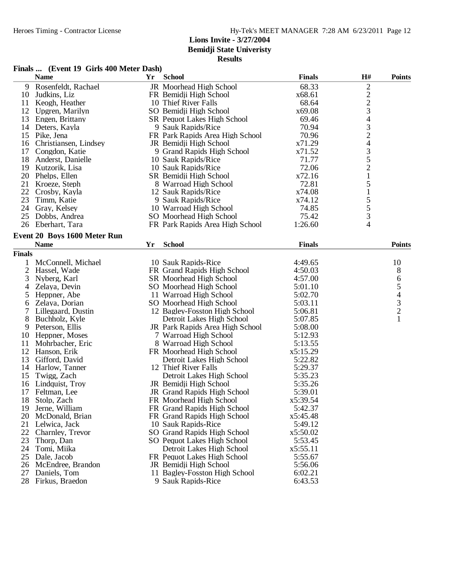**Bemidji State Univeristy Results**

### **Finals ... (Event 19 Girls 400 Meter Dash)**

|               | <b>Name</b>                  | Yr | <b>School</b>                   | <b>Finals</b> | H#                                              | <b>Points</b>  |
|---------------|------------------------------|----|---------------------------------|---------------|-------------------------------------------------|----------------|
| 9             | Rosenfeldt, Rachael          |    | JR Moorhead High School         | 68.33         |                                                 |                |
| 10            | Judkins, Liz                 |    | FR Bemidji High School          | x68.61        |                                                 |                |
| 11            | Keogh, Heather               |    | 10 Thief River Falls            | 68.64         |                                                 |                |
| 12            | Upgren, Marilyn              |    | SO Bemidji High School          | x69.08        | $\begin{array}{c} 2 \\ 2 \\ 3 \end{array}$      |                |
| 13            | Engen, Brittany              |    | SR Pequot Lakes High School     | 69.46         | $\overline{\mathcal{L}}$                        |                |
| 14            | Deters, Kayla                |    | 9 Sauk Rapids/Rice              | 70.94         |                                                 |                |
| 15            | Pike, Jena                   |    | FR Park Rapids Area High School | 70.96         | $\frac{3}{2}$                                   |                |
| 16            | Christiansen, Lindsey        |    | JR Bemidji High School          | x71.29        | $\overline{\mathcal{A}}$                        |                |
| 17            | Congdon, Katie               |    | 9 Grand Rapids High School      | x71.52        |                                                 |                |
| 18            | Anderst, Danielle            |    | 10 Sauk Rapids/Rice             | 71.77         | $\begin{array}{c} 3 \\ 5 \\ 2 \\ 1 \end{array}$ |                |
| 19            | Kutzorik, Lisa               |    | 10 Sauk Rapids/Rice             | 72.06         |                                                 |                |
| 20            | Phelps, Ellen                |    | SR Bemidji High School          | x72.16        |                                                 |                |
| 21            | Kroeze, Steph                |    | 8 Warroad High School           | 72.81         | 5                                               |                |
| 22            | Crosby, Kayla                |    | 12 Sauk Rapids/Rice             | x74.08        | $\mathbf 1$                                     |                |
| 23            | Timm, Katie                  |    | 9 Sauk Rapids/Rice              | x74.12        | 5                                               |                |
| 24            | Gray, Kelsey                 |    | 10 Warroad High School          | 74.85         | 5                                               |                |
| 25            | Dobbs, Andrea                |    | SO Moorhead High School         | 75.42         | 3                                               |                |
|               | 26 Eberhart, Tara            |    | FR Park Rapids Area High School | 1:26.60       | 4                                               |                |
|               | Event 20 Boys 1600 Meter Run |    |                                 |               |                                                 |                |
|               | <b>Name</b>                  | Yr | <b>School</b>                   | <b>Finals</b> |                                                 | <b>Points</b>  |
| <b>Finals</b> |                              |    |                                 |               |                                                 |                |
| 1             | McConnell, Michael           |    | 10 Sauk Rapids-Rice             | 4:49.65       |                                                 | 10             |
| 2             | Hassel, Wade                 |    | FR Grand Rapids High School     | 4:50.03       |                                                 | 8              |
| 3             | Nyberg, Karl                 |    | SR Moorhead High School         | 4:57.00       |                                                 | 6              |
| 4             | Zelaya, Devin                |    | SO Moorhead High School         | 5:01.10       |                                                 | 5              |
| 5             | Heppner, Abe                 |    | 11 Warroad High School          | 5:02.70       |                                                 | $\overline{4}$ |
| 6             | Zelaya, Dorian               |    | SO Moorhead High School         | 5:03.11       |                                                 |                |
| 7             | Lillegaard, Dustin           |    | 12 Bagley-Fosston High School   | 5:06.81       |                                                 | $\frac{3}{2}$  |
| 8             | Buchholz, Kyle               |    | Detroit Lakes High School       | 5:07.85       |                                                 | $\mathbf{1}$   |
| 9             | Peterson, Ellis              |    | JR Park Rapids Area High School | 5:08.00       |                                                 |                |
| 10            | Heppner, Moses               |    | 7 Warroad High School           | 5:12.93       |                                                 |                |
| 11            | Mohrbacher, Eric             |    | 8 Warroad High School           | 5:13.55       |                                                 |                |
| 12            | Hanson, Erik                 |    | FR Moorhead High School         | x5:15.29      |                                                 |                |
| 13            | Gifford, David               |    | Detroit Lakes High School       | 5:22.82       |                                                 |                |
| 14            | Harlow, Tanner               |    | 12 Thief River Falls            | 5:29.37       |                                                 |                |
| 15            | Twigg, Zach                  |    | Detroit Lakes High School       | 5:35.23       |                                                 |                |
| 16            | Lindquist, Troy              |    | JR Bemidji High School          | 5:35.26       |                                                 |                |
| 17            | Feltman, Lee                 |    | JR Grand Rapids High School     | 5:39.01       |                                                 |                |
|               | 18 Stolp, Zach               |    | FR Moorhead High School         | x5:39.54      |                                                 |                |
| 19            | Jerne, William               |    | FR Grand Rapids High School     | 5:42.37       |                                                 |                |
| 20            | McDonald, Brian              |    | FR Grand Rapids High School     | x5:45.48      |                                                 |                |
| 21            | Lelwica, Jack                |    | 10 Sauk Rapids-Rice             | 5:49.12       |                                                 |                |
| 22            | Charnley, Trevor             |    | SO Grand Rapids High School     | x5:50.02      |                                                 |                |
| 23            | Thorp, Dan                   |    | SO Pequot Lakes High School     | 5:53.45       |                                                 |                |
| 24            | Tomi, Miika                  |    | Detroit Lakes High School       | x5:55.11      |                                                 |                |
| 25            | Dale, Jacob                  |    | FR Pequot Lakes High School     | 5:55.67       |                                                 |                |
| 26            | McEndree, Brandon            |    | JR Bemidji High School          | 5:56.06       |                                                 |                |
| 27            | Daniels, Tom                 |    | 11 Bagley-Fosston High School   | 6:02.21       |                                                 |                |
| 28            | Firkus, Braedon              |    | 9 Sauk Rapids-Rice              | 6:43.53       |                                                 |                |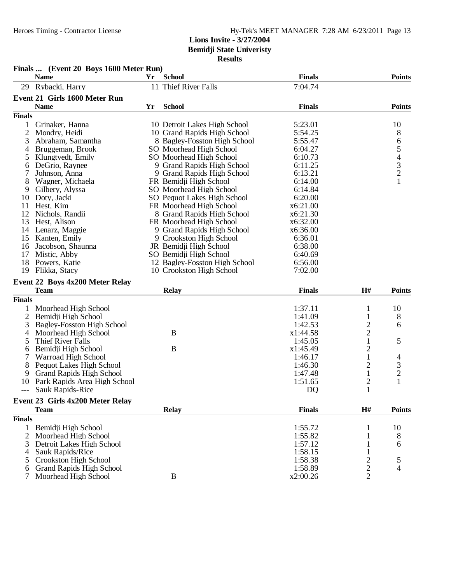|                | Finals  (Event 20 Boys 1600 Meter Run) |    |                               |                |                         |                                |
|----------------|----------------------------------------|----|-------------------------------|----------------|-------------------------|--------------------------------|
|                | <b>Name</b>                            | Yr | <b>School</b>                 | <b>Finals</b>  |                         | <b>Points</b>                  |
| 29             | Rybacki, Harry                         |    | 11 Thief River Falls          | 7:04.74        |                         |                                |
|                | Event 21 Girls 1600 Meter Run          |    |                               |                |                         |                                |
|                | <b>Name</b>                            | Yr | <b>School</b>                 | <b>Finals</b>  |                         | <b>Points</b>                  |
| <b>Finals</b>  |                                        |    |                               |                |                         |                                |
| 1              | Grinaker, Hanna                        |    | 10 Detroit Lakes High School  | 5:23.01        |                         | 10                             |
| $\mathbf{2}$   | Mondry, Heidi                          |    | 10 Grand Rapids High School   | 5:54.25        |                         | 8                              |
| 3              | Abraham, Samantha                      |    | 8 Bagley-Fosston High School  | 5:55.47        |                         | 6                              |
| 4              | Bruggeman, Brook                       |    | SO Moorhead High School       | 6:04.27        |                         |                                |
| 5              | Klungtvedt, Emily                      |    | SO Moorhead High School       | 6:10.73        |                         |                                |
| 6              | DeGrio, Raynee                         |    | 9 Grand Rapids High School    | 6:11.25        |                         | $\frac{5}{4}$<br>$\frac{3}{2}$ |
| 7              | Johnson, Anna                          |    | 9 Grand Rapids High School    | 6:13.21        |                         |                                |
| 8              | Wagner, Michaela                       |    | FR Bemidji High School        | 6:14.00        |                         | $\mathbf{1}$                   |
| 9              | Gilbery, Alyssa                        |    | SO Moorhead High School       | 6:14.84        |                         |                                |
| 10             | Doty, Jacki                            |    | SO Pequot Lakes High School   | 6:20.00        |                         |                                |
| 11             | Hest, Kim                              |    | FR Moorhead High School       | x6:21.00       |                         |                                |
| 12             | Nichols, Randii                        |    | 8 Grand Rapids High School    | x6:21.30       |                         |                                |
| 13             | Hest, Alison                           |    | FR Moorhead High School       | x6:32.00       |                         |                                |
| 14             | Lenarz, Maggie                         |    | 9 Grand Rapids High School    | x6:36.00       |                         |                                |
| 15             | Kanten, Emily                          |    | 9 Crookston High School       | 6:36.01        |                         |                                |
| 16             | Jacobson, Shaunna                      |    | JR Bemidji High School        | 6:38.00        |                         |                                |
| 17             | Mistic, Abby                           |    | SO Bemidji High School        | 6:40.69        |                         |                                |
| 18             | Powers, Katie                          |    | 12 Bagley-Fosston High School | 6:56.00        |                         |                                |
| 19             | Flikka, Stacy                          |    | 10 Crookston High School      | 7:02.00        |                         |                                |
|                | Event 22 Boys 4x200 Meter Relay        |    |                               |                |                         |                                |
|                | <b>Team</b>                            |    | <b>Relay</b>                  | <b>Finals</b>  | H#                      | <b>Points</b>                  |
| <b>Finals</b>  |                                        |    |                               |                |                         |                                |
| 1              | Moorhead High School                   |    |                               | 1:37.11        | 1                       | 10                             |
| $\overline{2}$ | Bemidji High School                    |    |                               | 1:41.09        | 1                       | 8                              |
| 3              | Bagley-Fosston High School             |    |                               | 1:42.53        | $\overline{\mathbf{c}}$ | 6                              |
| 4              | Moorhead High School                   |    | B                             | x1:44.58       | $\overline{c}$          |                                |
| 5              | Thief River Falls                      |    |                               | 1:45.05        | $\mathbf{1}$            | 5                              |
| 6              | Bemidji High School                    |    | $\bf{B}$                      | x1:45.49       | $\overline{c}$          |                                |
| 7              | Warroad High School                    |    |                               | 1:46.17        | 1                       | 4                              |
| 8              | Pequot Lakes High School               |    |                               | 1:46.30        | $\overline{2}$          | 3                              |
| 9              | <b>Grand Rapids High School</b>        |    |                               | 1:47.48        | $\mathbf{1}$            | $\overline{c}$                 |
| 10             | Park Rapids Area High School           |    |                               | 1:51.65        | $\overline{c}$          | 1                              |
| ---            | Sauk Rapids-Rice                       |    |                               | D <sub>O</sub> | $\mathbf{1}$            |                                |
|                | Event 23 Girls 4x200 Meter Relay       |    |                               |                |                         |                                |
|                | <b>Team</b>                            |    | <b>Relay</b>                  | <b>Finals</b>  | H#                      | <b>Points</b>                  |
| <b>Finals</b>  |                                        |    |                               |                |                         |                                |
| 1              | Bemidji High School                    |    |                               | 1:55.72        |                         | 10                             |
| 2              | Moorhead High School                   |    |                               | 1:55.82        |                         | 8                              |
| 3              | Detroit Lakes High School              |    |                               | 1:57.12        |                         | 6                              |
| 4              | Sauk Rapids/Rice                       |    |                               | 1:58.15        |                         |                                |
| $\mathcal{D}$  | Crookston High School                  |    |                               | 1:58.38        | $\overline{c}$          | 5                              |
| 6              | <b>Grand Rapids High School</b>        |    |                               | 1:58.89        | $\overline{\mathbf{c}}$ | 4                              |
| 7              | Moorhead High School                   |    | B                             | x2:00.26       | $\overline{2}$          |                                |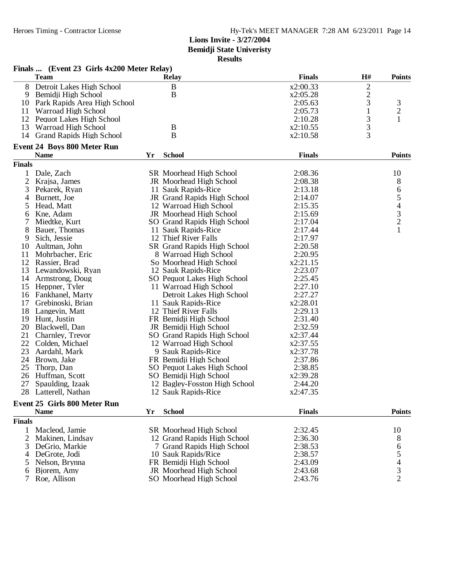**Bemidji State Univeristy**

| esults |
|--------|
|--------|

|                | Finals  (Event 23 Girls 4x200 Meter Relay) |    |                                    |               |                         |                |
|----------------|--------------------------------------------|----|------------------------------------|---------------|-------------------------|----------------|
|                | <b>Team</b>                                |    | <b>Relay</b>                       | <b>Finals</b> | H#                      | <b>Points</b>  |
| 8              | Detroit Lakes High School                  |    | $\, {\bf B}$                       | x2:00.33      | $\overline{\mathbf{c}}$ |                |
| 9              | Bemidji High School                        |    | $\mathbf B$                        | x2:05.28      |                         |                |
| 10             | Park Rapids Area High School               |    |                                    | 2:05.63       | $\frac{2}{3}$           | 3              |
| 11             | Warroad High School                        |    |                                    | 2:05.73       | $\mathbf{1}$            | $\overline{c}$ |
| 12             | Pequot Lakes High School                   |    |                                    | 2:10.28       | 3                       | 1              |
| 13             | Warroad High School                        |    | B                                  | x2:10.55      | 3                       |                |
| 14             | <b>Grand Rapids High School</b>            |    | $\mathbf B$                        | x2:10.58      | $\overline{3}$          |                |
|                | <b>Event 24 Boys 800 Meter Run</b>         |    |                                    |               |                         |                |
|                | <b>Name</b>                                | Yr | <b>School</b>                      | <b>Finals</b> |                         | <b>Points</b>  |
| <b>Finals</b>  |                                            |    |                                    |               |                         |                |
| 1              | Dale, Zach                                 |    | SR Moorhead High School            | 2:08.36       |                         | 10             |
| $\overline{c}$ | Krajsa, James                              |    | JR Moorhead High School            | 2:08.38       |                         | 8              |
|                |                                            |    | 11 Sauk Rapids-Rice                | 2:13.18       |                         |                |
| 3              | Pekarek, Ryan                              |    |                                    |               |                         | $rac{6}{5}$    |
| 4              | Burnett, Joe                               |    | JR Grand Rapids High School        | 2:14.07       |                         |                |
| 5              | Head, Matt                                 |    | 12 Warroad High School             | 2:15.35       |                         |                |
| 6              | Kne, Adam                                  |    | JR Moorhead High School            | 2:15.69       |                         | $\frac{3}{2}$  |
| 7              | Miedtke, Kurt                              |    | SO Grand Rapids High School        | 2:17.04       |                         |                |
| 8              | Bauer, Thomas                              |    | 11 Sauk Rapids-Rice                | 2:17.44       |                         | $\mathbf{1}$   |
| 9              | Sich, Jessie                               |    | 12 Thief River Falls               | 2:17.97       |                         |                |
| 10             | Aultman, John                              |    | <b>SR Grand Rapids High School</b> | 2:20.58       |                         |                |
| 11             | Mohrbacher, Eric                           |    | 8 Warroad High School              | 2:20.95       |                         |                |
| 12             | Rassier, Brad                              |    | So Moorhead High School            | x2:21.15      |                         |                |
| 13             | Lewandowski, Ryan                          |    | 12 Sauk Rapids-Rice                | 2:23.07       |                         |                |
| 14             | Armstrong, Doug                            |    | SO Pequot Lakes High School        | 2:25.45       |                         |                |
| 15             | Heppner, Tyler                             |    | 11 Warroad High School             | 2:27.10       |                         |                |
| 16             | Fankhanel, Marty                           |    | Detroit Lakes High School          | 2:27.27       |                         |                |
| 17             | Grebinoski, Brian                          |    | 11 Sauk Rapids-Rice                | x2:28.01      |                         |                |
| 18             | Langevin, Matt                             |    | 12 Thief River Falls               | 2:29.13       |                         |                |
| 19             | Hunt, Justin                               |    | FR Bemidji High School             | 2:31.40       |                         |                |
|                |                                            |    |                                    |               |                         |                |
| 20             | Blackwell, Dan                             |    | JR Bemidji High School             | 2:32.59       |                         |                |
| 21             | Charnley, Trevor                           |    | SO Grand Rapids High School        | x2:37.44      |                         |                |
| 22             | Colden, Michael                            |    | 12 Warroad High School             | x2:37.55      |                         |                |
| 23             | Aardahl, Mark                              |    | 9 Sauk Rapids-Rice                 | x2:37.78      |                         |                |
| 24             | Brown, Jake                                |    | FR Bemidji High School             | 2:37.86       |                         |                |
| 25             | Thorp, Dan                                 |    | SO Pequot Lakes High School        | 2:38.85       |                         |                |
| 26             | Huffman, Scott                             |    | SO Bemidji High School             | x2:39.28      |                         |                |
| 27             | Spaulding, Izaak                           |    | 12 Bagley-Fosston High School      | 2:44.20       |                         |                |
|                | 28 Latterell, Nathan                       |    | 12 Sauk Rapids-Rice                | x2:47.35      |                         |                |
|                | <b>Event 25 Girls 800 Meter Run</b>        |    |                                    |               |                         |                |
|                | <b>Name</b>                                | Yr | <b>School</b>                      | <b>Finals</b> |                         | <b>Points</b>  |
| <b>Finals</b>  |                                            |    |                                    |               |                         |                |
| 1              | Macleod, Jamie                             |    | <b>SR</b> Moorhead High School     | 2:32.45       |                         | 10             |
| 2              | Makinen, Lindsay                           |    | 12 Grand Rapids High School        | 2:36.30       |                         | 8              |
| 3              | DeGrio, Markie                             |    | 7 Grand Rapids High School         | 2:38.53       |                         |                |
| 4              | DeGrote, Jodi                              |    | 10 Sauk Rapids/Rice                | 2:38.57       |                         |                |
| 5              | Nelson, Brynna                             |    | FR Bemidji High School             | 2:43.09       |                         |                |
| 6              | Bjorem, Amy                                |    | JR Moorhead High School            | 2:43.68       |                         | $654$<br>$32$  |
|                | Roe, Allison                               |    | SO Moorhead High School            | 2:43.76       |                         |                |
|                |                                            |    |                                    |               |                         |                |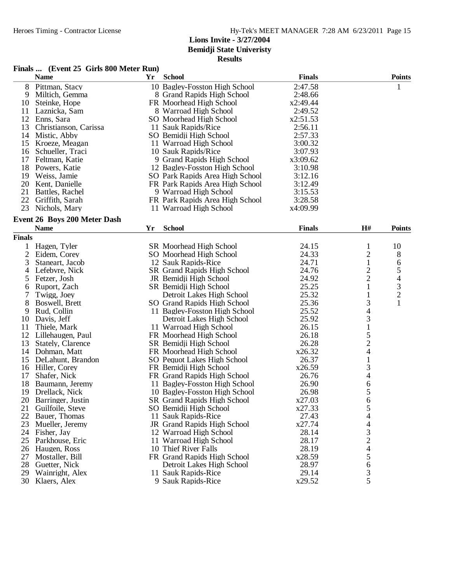# **Results**

### **Finals ... (Event 25 Girls 800 Meter Run)**

| 2:47.58<br>8<br>Pittman, Stacy<br>10 Bagley-Fosston High School<br>1<br>9<br>Miltich, Gemma<br>8 Grand Rapids High School<br>2:48.66<br>10<br>FR Moorhead High School<br>x2:49.44<br>Steinke, Hope<br>2:49.52<br>11<br>Laznicka, Sam<br>8 Warroad High School<br>x2:51.53<br>12<br>Enns, Sara<br>SO Moorhead High School<br>2:56.11<br>13<br>11 Sauk Rapids/Rice<br>Christianson, Carissa<br>14<br>Mistic, Abby<br>SO Bemidji High School<br>2:57.33<br>15<br>Kroeze, Meagan<br>11 Warroad High School<br>3:00.32<br>3:07.93<br>16<br>10 Sauk Rapids/Rice<br>Schueller, Traci<br>17<br>Feltman, Katie<br>9 Grand Rapids High School<br>x3:09.62<br>18<br>Powers, Katie<br>12 Bagley-Fosston High School<br>3:10.98<br>19<br>3:12.16<br>Weiss, Jamie<br>SO Park Rapids Area High School<br>20<br>FR Park Rapids Area High School<br>3:12.49<br>Kent, Danielle<br>21<br>Battles, Rachel<br>9 Warroad High School<br>3:15.53<br>22<br>3:28.58<br>Griffith, Sarah<br>FR Park Rapids Area High School<br>23<br>Nichols, Mary<br>11 Warroad High School<br>x4:09.99<br><b>Event 26 Boys 200 Meter Dash</b><br><b>Name</b><br><b>School</b><br><b>Finals</b><br>H#<br><b>Points</b><br>Yr<br><b>Finals</b><br>24.15<br>10<br>$\mathbf 1$<br>Hagen, Tyler<br>SR Moorhead High School<br>1<br>2<br>8<br>2<br>Eidem, Corey<br>SO Moorhead High School<br>24.33<br>$\mathbf{1}$<br>3<br>24.71<br>Staneart, Jacob<br>12 Sauk Rapids-Rice<br>6<br>$\overline{c}$<br>5<br>24.76<br>4<br>Lefebvre, Nick<br>SR Grand Rapids High School<br>$\overline{c}$<br>4<br>5<br>24.92<br>Fetzer, Josh<br>JR Bemidji High School<br>3<br>25.25<br>1<br>Ruport, Zach<br>SR Bemidji High School<br>6<br>$\overline{c}$<br>25.32<br>7<br>Twigg, Joey<br>Detroit Lakes High School<br>1<br>3<br>8<br>1<br>Boswell, Brett<br>25.36<br>SO Grand Rapids High School<br>$\overline{4}$<br>25.52<br>9<br>Rud, Collin<br>11 Bagley-Fosston High School<br>3<br>25.92<br>10<br>Davis, Jeff<br>Detroit Lakes High School<br>$\mathbf{1}$<br>11<br>Thiele, Mark<br>11 Warroad High School<br>26.15<br>$\frac{5}{2}$<br>12<br>Lillehaugen, Paul<br>FR Moorhead High School<br>26.18<br>26.28<br>13<br>SR Bemidji High School<br>Stately, Clarence<br>14<br>Dohman, Matt<br>FR Moorhead High School<br>x26.32<br>$\mathbf{1}$<br>26.37<br>15<br>DeLahunt, Brandon<br>SO Pequot Lakes High School<br>$\mathfrak{Z}$<br>x26.59<br>16<br>Hiller, Corey<br>FR Bemidji High School<br>4<br>Shafer, Nick<br>26.76<br>17<br>FR Grand Rapids High School<br>6<br>18<br>11 Bagley-Fosston High School<br>26.90<br>Baumann, Jeremy<br>5<br>19<br>Drellack, Nick<br>10 Bagley-Fosston High School<br>26.98<br>6<br>20 Barringer, Justin<br><b>SR Grand Rapids High School</b><br>x27.03<br>SO Bemidji High School<br>x27.33<br>5<br>21<br>Guilfoile, Steve<br>$\overline{4}$<br>27.43<br>22<br>Bauer, Thomas<br>11 Sauk Rapids-Rice<br>x27.74<br>$\overline{\mathcal{L}}$<br>23<br>Mueller, Jeremy<br>JR Grand Rapids High School<br>$\frac{3}{2}$<br>28.14<br>Fisher, Jay<br>12 Warroad High School<br>24<br>28.17<br>25<br>Parkhouse, Eric<br>11 Warroad High School<br>$\overline{4}$<br>Haugen, Ross<br>10 Thief River Falls<br>28.19<br>26<br>5<br>FR Grand Rapids High School<br>x28.59<br>27<br>Mostaller, Bill<br>6<br>28<br>28.97<br>Guetter, Nick<br>Detroit Lakes High School<br>$\mathfrak{Z}$<br>29.14<br>29<br>Wainright, Alex<br>11 Sauk Rapids-Rice<br>5<br>x29.52<br>30<br>Klaers, Alex<br>9 Sauk Rapids-Rice | <b>Name</b> | Yr | <b>School</b> | <b>Finals</b> | <b>Points</b> |
|----------------------------------------------------------------------------------------------------------------------------------------------------------------------------------------------------------------------------------------------------------------------------------------------------------------------------------------------------------------------------------------------------------------------------------------------------------------------------------------------------------------------------------------------------------------------------------------------------------------------------------------------------------------------------------------------------------------------------------------------------------------------------------------------------------------------------------------------------------------------------------------------------------------------------------------------------------------------------------------------------------------------------------------------------------------------------------------------------------------------------------------------------------------------------------------------------------------------------------------------------------------------------------------------------------------------------------------------------------------------------------------------------------------------------------------------------------------------------------------------------------------------------------------------------------------------------------------------------------------------------------------------------------------------------------------------------------------------------------------------------------------------------------------------------------------------------------------------------------------------------------------------------------------------------------------------------------------------------------------------------------------------------------------------------------------------------------------------------------------------------------------------------------------------------------------------------------------------------------------------------------------------------------------------------------------------------------------------------------------------------------------------------------------------------------------------------------------------------------------------------------------------------------------------------------------------------------------------------------------------------------------------------------------------------------------------------------------------------------------------------------------------------------------------------------------------------------------------------------------------------------------------------------------------------------------------------------------------------------------------------------------------------------------------------------------------------------------------------------------------------------------------------------------------------------------------------------------------------------------------------------------------------------------------------------------------------------------------------------------------------------------------------------------------------------------------------------------------------|-------------|----|---------------|---------------|---------------|
|                                                                                                                                                                                                                                                                                                                                                                                                                                                                                                                                                                                                                                                                                                                                                                                                                                                                                                                                                                                                                                                                                                                                                                                                                                                                                                                                                                                                                                                                                                                                                                                                                                                                                                                                                                                                                                                                                                                                                                                                                                                                                                                                                                                                                                                                                                                                                                                                                                                                                                                                                                                                                                                                                                                                                                                                                                                                                                                                                                                                                                                                                                                                                                                                                                                                                                                                                                                                                                                                            |             |    |               |               |               |
|                                                                                                                                                                                                                                                                                                                                                                                                                                                                                                                                                                                                                                                                                                                                                                                                                                                                                                                                                                                                                                                                                                                                                                                                                                                                                                                                                                                                                                                                                                                                                                                                                                                                                                                                                                                                                                                                                                                                                                                                                                                                                                                                                                                                                                                                                                                                                                                                                                                                                                                                                                                                                                                                                                                                                                                                                                                                                                                                                                                                                                                                                                                                                                                                                                                                                                                                                                                                                                                                            |             |    |               |               |               |
|                                                                                                                                                                                                                                                                                                                                                                                                                                                                                                                                                                                                                                                                                                                                                                                                                                                                                                                                                                                                                                                                                                                                                                                                                                                                                                                                                                                                                                                                                                                                                                                                                                                                                                                                                                                                                                                                                                                                                                                                                                                                                                                                                                                                                                                                                                                                                                                                                                                                                                                                                                                                                                                                                                                                                                                                                                                                                                                                                                                                                                                                                                                                                                                                                                                                                                                                                                                                                                                                            |             |    |               |               |               |
|                                                                                                                                                                                                                                                                                                                                                                                                                                                                                                                                                                                                                                                                                                                                                                                                                                                                                                                                                                                                                                                                                                                                                                                                                                                                                                                                                                                                                                                                                                                                                                                                                                                                                                                                                                                                                                                                                                                                                                                                                                                                                                                                                                                                                                                                                                                                                                                                                                                                                                                                                                                                                                                                                                                                                                                                                                                                                                                                                                                                                                                                                                                                                                                                                                                                                                                                                                                                                                                                            |             |    |               |               |               |
|                                                                                                                                                                                                                                                                                                                                                                                                                                                                                                                                                                                                                                                                                                                                                                                                                                                                                                                                                                                                                                                                                                                                                                                                                                                                                                                                                                                                                                                                                                                                                                                                                                                                                                                                                                                                                                                                                                                                                                                                                                                                                                                                                                                                                                                                                                                                                                                                                                                                                                                                                                                                                                                                                                                                                                                                                                                                                                                                                                                                                                                                                                                                                                                                                                                                                                                                                                                                                                                                            |             |    |               |               |               |
|                                                                                                                                                                                                                                                                                                                                                                                                                                                                                                                                                                                                                                                                                                                                                                                                                                                                                                                                                                                                                                                                                                                                                                                                                                                                                                                                                                                                                                                                                                                                                                                                                                                                                                                                                                                                                                                                                                                                                                                                                                                                                                                                                                                                                                                                                                                                                                                                                                                                                                                                                                                                                                                                                                                                                                                                                                                                                                                                                                                                                                                                                                                                                                                                                                                                                                                                                                                                                                                                            |             |    |               |               |               |
|                                                                                                                                                                                                                                                                                                                                                                                                                                                                                                                                                                                                                                                                                                                                                                                                                                                                                                                                                                                                                                                                                                                                                                                                                                                                                                                                                                                                                                                                                                                                                                                                                                                                                                                                                                                                                                                                                                                                                                                                                                                                                                                                                                                                                                                                                                                                                                                                                                                                                                                                                                                                                                                                                                                                                                                                                                                                                                                                                                                                                                                                                                                                                                                                                                                                                                                                                                                                                                                                            |             |    |               |               |               |
|                                                                                                                                                                                                                                                                                                                                                                                                                                                                                                                                                                                                                                                                                                                                                                                                                                                                                                                                                                                                                                                                                                                                                                                                                                                                                                                                                                                                                                                                                                                                                                                                                                                                                                                                                                                                                                                                                                                                                                                                                                                                                                                                                                                                                                                                                                                                                                                                                                                                                                                                                                                                                                                                                                                                                                                                                                                                                                                                                                                                                                                                                                                                                                                                                                                                                                                                                                                                                                                                            |             |    |               |               |               |
|                                                                                                                                                                                                                                                                                                                                                                                                                                                                                                                                                                                                                                                                                                                                                                                                                                                                                                                                                                                                                                                                                                                                                                                                                                                                                                                                                                                                                                                                                                                                                                                                                                                                                                                                                                                                                                                                                                                                                                                                                                                                                                                                                                                                                                                                                                                                                                                                                                                                                                                                                                                                                                                                                                                                                                                                                                                                                                                                                                                                                                                                                                                                                                                                                                                                                                                                                                                                                                                                            |             |    |               |               |               |
|                                                                                                                                                                                                                                                                                                                                                                                                                                                                                                                                                                                                                                                                                                                                                                                                                                                                                                                                                                                                                                                                                                                                                                                                                                                                                                                                                                                                                                                                                                                                                                                                                                                                                                                                                                                                                                                                                                                                                                                                                                                                                                                                                                                                                                                                                                                                                                                                                                                                                                                                                                                                                                                                                                                                                                                                                                                                                                                                                                                                                                                                                                                                                                                                                                                                                                                                                                                                                                                                            |             |    |               |               |               |
|                                                                                                                                                                                                                                                                                                                                                                                                                                                                                                                                                                                                                                                                                                                                                                                                                                                                                                                                                                                                                                                                                                                                                                                                                                                                                                                                                                                                                                                                                                                                                                                                                                                                                                                                                                                                                                                                                                                                                                                                                                                                                                                                                                                                                                                                                                                                                                                                                                                                                                                                                                                                                                                                                                                                                                                                                                                                                                                                                                                                                                                                                                                                                                                                                                                                                                                                                                                                                                                                            |             |    |               |               |               |
|                                                                                                                                                                                                                                                                                                                                                                                                                                                                                                                                                                                                                                                                                                                                                                                                                                                                                                                                                                                                                                                                                                                                                                                                                                                                                                                                                                                                                                                                                                                                                                                                                                                                                                                                                                                                                                                                                                                                                                                                                                                                                                                                                                                                                                                                                                                                                                                                                                                                                                                                                                                                                                                                                                                                                                                                                                                                                                                                                                                                                                                                                                                                                                                                                                                                                                                                                                                                                                                                            |             |    |               |               |               |
|                                                                                                                                                                                                                                                                                                                                                                                                                                                                                                                                                                                                                                                                                                                                                                                                                                                                                                                                                                                                                                                                                                                                                                                                                                                                                                                                                                                                                                                                                                                                                                                                                                                                                                                                                                                                                                                                                                                                                                                                                                                                                                                                                                                                                                                                                                                                                                                                                                                                                                                                                                                                                                                                                                                                                                                                                                                                                                                                                                                                                                                                                                                                                                                                                                                                                                                                                                                                                                                                            |             |    |               |               |               |
|                                                                                                                                                                                                                                                                                                                                                                                                                                                                                                                                                                                                                                                                                                                                                                                                                                                                                                                                                                                                                                                                                                                                                                                                                                                                                                                                                                                                                                                                                                                                                                                                                                                                                                                                                                                                                                                                                                                                                                                                                                                                                                                                                                                                                                                                                                                                                                                                                                                                                                                                                                                                                                                                                                                                                                                                                                                                                                                                                                                                                                                                                                                                                                                                                                                                                                                                                                                                                                                                            |             |    |               |               |               |
|                                                                                                                                                                                                                                                                                                                                                                                                                                                                                                                                                                                                                                                                                                                                                                                                                                                                                                                                                                                                                                                                                                                                                                                                                                                                                                                                                                                                                                                                                                                                                                                                                                                                                                                                                                                                                                                                                                                                                                                                                                                                                                                                                                                                                                                                                                                                                                                                                                                                                                                                                                                                                                                                                                                                                                                                                                                                                                                                                                                                                                                                                                                                                                                                                                                                                                                                                                                                                                                                            |             |    |               |               |               |
|                                                                                                                                                                                                                                                                                                                                                                                                                                                                                                                                                                                                                                                                                                                                                                                                                                                                                                                                                                                                                                                                                                                                                                                                                                                                                                                                                                                                                                                                                                                                                                                                                                                                                                                                                                                                                                                                                                                                                                                                                                                                                                                                                                                                                                                                                                                                                                                                                                                                                                                                                                                                                                                                                                                                                                                                                                                                                                                                                                                                                                                                                                                                                                                                                                                                                                                                                                                                                                                                            |             |    |               |               |               |
|                                                                                                                                                                                                                                                                                                                                                                                                                                                                                                                                                                                                                                                                                                                                                                                                                                                                                                                                                                                                                                                                                                                                                                                                                                                                                                                                                                                                                                                                                                                                                                                                                                                                                                                                                                                                                                                                                                                                                                                                                                                                                                                                                                                                                                                                                                                                                                                                                                                                                                                                                                                                                                                                                                                                                                                                                                                                                                                                                                                                                                                                                                                                                                                                                                                                                                                                                                                                                                                                            |             |    |               |               |               |
|                                                                                                                                                                                                                                                                                                                                                                                                                                                                                                                                                                                                                                                                                                                                                                                                                                                                                                                                                                                                                                                                                                                                                                                                                                                                                                                                                                                                                                                                                                                                                                                                                                                                                                                                                                                                                                                                                                                                                                                                                                                                                                                                                                                                                                                                                                                                                                                                                                                                                                                                                                                                                                                                                                                                                                                                                                                                                                                                                                                                                                                                                                                                                                                                                                                                                                                                                                                                                                                                            |             |    |               |               |               |
|                                                                                                                                                                                                                                                                                                                                                                                                                                                                                                                                                                                                                                                                                                                                                                                                                                                                                                                                                                                                                                                                                                                                                                                                                                                                                                                                                                                                                                                                                                                                                                                                                                                                                                                                                                                                                                                                                                                                                                                                                                                                                                                                                                                                                                                                                                                                                                                                                                                                                                                                                                                                                                                                                                                                                                                                                                                                                                                                                                                                                                                                                                                                                                                                                                                                                                                                                                                                                                                                            |             |    |               |               |               |
|                                                                                                                                                                                                                                                                                                                                                                                                                                                                                                                                                                                                                                                                                                                                                                                                                                                                                                                                                                                                                                                                                                                                                                                                                                                                                                                                                                                                                                                                                                                                                                                                                                                                                                                                                                                                                                                                                                                                                                                                                                                                                                                                                                                                                                                                                                                                                                                                                                                                                                                                                                                                                                                                                                                                                                                                                                                                                                                                                                                                                                                                                                                                                                                                                                                                                                                                                                                                                                                                            |             |    |               |               |               |
|                                                                                                                                                                                                                                                                                                                                                                                                                                                                                                                                                                                                                                                                                                                                                                                                                                                                                                                                                                                                                                                                                                                                                                                                                                                                                                                                                                                                                                                                                                                                                                                                                                                                                                                                                                                                                                                                                                                                                                                                                                                                                                                                                                                                                                                                                                                                                                                                                                                                                                                                                                                                                                                                                                                                                                                                                                                                                                                                                                                                                                                                                                                                                                                                                                                                                                                                                                                                                                                                            |             |    |               |               |               |
|                                                                                                                                                                                                                                                                                                                                                                                                                                                                                                                                                                                                                                                                                                                                                                                                                                                                                                                                                                                                                                                                                                                                                                                                                                                                                                                                                                                                                                                                                                                                                                                                                                                                                                                                                                                                                                                                                                                                                                                                                                                                                                                                                                                                                                                                                                                                                                                                                                                                                                                                                                                                                                                                                                                                                                                                                                                                                                                                                                                                                                                                                                                                                                                                                                                                                                                                                                                                                                                                            |             |    |               |               |               |
|                                                                                                                                                                                                                                                                                                                                                                                                                                                                                                                                                                                                                                                                                                                                                                                                                                                                                                                                                                                                                                                                                                                                                                                                                                                                                                                                                                                                                                                                                                                                                                                                                                                                                                                                                                                                                                                                                                                                                                                                                                                                                                                                                                                                                                                                                                                                                                                                                                                                                                                                                                                                                                                                                                                                                                                                                                                                                                                                                                                                                                                                                                                                                                                                                                                                                                                                                                                                                                                                            |             |    |               |               |               |
|                                                                                                                                                                                                                                                                                                                                                                                                                                                                                                                                                                                                                                                                                                                                                                                                                                                                                                                                                                                                                                                                                                                                                                                                                                                                                                                                                                                                                                                                                                                                                                                                                                                                                                                                                                                                                                                                                                                                                                                                                                                                                                                                                                                                                                                                                                                                                                                                                                                                                                                                                                                                                                                                                                                                                                                                                                                                                                                                                                                                                                                                                                                                                                                                                                                                                                                                                                                                                                                                            |             |    |               |               |               |
|                                                                                                                                                                                                                                                                                                                                                                                                                                                                                                                                                                                                                                                                                                                                                                                                                                                                                                                                                                                                                                                                                                                                                                                                                                                                                                                                                                                                                                                                                                                                                                                                                                                                                                                                                                                                                                                                                                                                                                                                                                                                                                                                                                                                                                                                                                                                                                                                                                                                                                                                                                                                                                                                                                                                                                                                                                                                                                                                                                                                                                                                                                                                                                                                                                                                                                                                                                                                                                                                            |             |    |               |               |               |
|                                                                                                                                                                                                                                                                                                                                                                                                                                                                                                                                                                                                                                                                                                                                                                                                                                                                                                                                                                                                                                                                                                                                                                                                                                                                                                                                                                                                                                                                                                                                                                                                                                                                                                                                                                                                                                                                                                                                                                                                                                                                                                                                                                                                                                                                                                                                                                                                                                                                                                                                                                                                                                                                                                                                                                                                                                                                                                                                                                                                                                                                                                                                                                                                                                                                                                                                                                                                                                                                            |             |    |               |               |               |
|                                                                                                                                                                                                                                                                                                                                                                                                                                                                                                                                                                                                                                                                                                                                                                                                                                                                                                                                                                                                                                                                                                                                                                                                                                                                                                                                                                                                                                                                                                                                                                                                                                                                                                                                                                                                                                                                                                                                                                                                                                                                                                                                                                                                                                                                                                                                                                                                                                                                                                                                                                                                                                                                                                                                                                                                                                                                                                                                                                                                                                                                                                                                                                                                                                                                                                                                                                                                                                                                            |             |    |               |               |               |
|                                                                                                                                                                                                                                                                                                                                                                                                                                                                                                                                                                                                                                                                                                                                                                                                                                                                                                                                                                                                                                                                                                                                                                                                                                                                                                                                                                                                                                                                                                                                                                                                                                                                                                                                                                                                                                                                                                                                                                                                                                                                                                                                                                                                                                                                                                                                                                                                                                                                                                                                                                                                                                                                                                                                                                                                                                                                                                                                                                                                                                                                                                                                                                                                                                                                                                                                                                                                                                                                            |             |    |               |               |               |
|                                                                                                                                                                                                                                                                                                                                                                                                                                                                                                                                                                                                                                                                                                                                                                                                                                                                                                                                                                                                                                                                                                                                                                                                                                                                                                                                                                                                                                                                                                                                                                                                                                                                                                                                                                                                                                                                                                                                                                                                                                                                                                                                                                                                                                                                                                                                                                                                                                                                                                                                                                                                                                                                                                                                                                                                                                                                                                                                                                                                                                                                                                                                                                                                                                                                                                                                                                                                                                                                            |             |    |               |               |               |
|                                                                                                                                                                                                                                                                                                                                                                                                                                                                                                                                                                                                                                                                                                                                                                                                                                                                                                                                                                                                                                                                                                                                                                                                                                                                                                                                                                                                                                                                                                                                                                                                                                                                                                                                                                                                                                                                                                                                                                                                                                                                                                                                                                                                                                                                                                                                                                                                                                                                                                                                                                                                                                                                                                                                                                                                                                                                                                                                                                                                                                                                                                                                                                                                                                                                                                                                                                                                                                                                            |             |    |               |               |               |
|                                                                                                                                                                                                                                                                                                                                                                                                                                                                                                                                                                                                                                                                                                                                                                                                                                                                                                                                                                                                                                                                                                                                                                                                                                                                                                                                                                                                                                                                                                                                                                                                                                                                                                                                                                                                                                                                                                                                                                                                                                                                                                                                                                                                                                                                                                                                                                                                                                                                                                                                                                                                                                                                                                                                                                                                                                                                                                                                                                                                                                                                                                                                                                                                                                                                                                                                                                                                                                                                            |             |    |               |               |               |
|                                                                                                                                                                                                                                                                                                                                                                                                                                                                                                                                                                                                                                                                                                                                                                                                                                                                                                                                                                                                                                                                                                                                                                                                                                                                                                                                                                                                                                                                                                                                                                                                                                                                                                                                                                                                                                                                                                                                                                                                                                                                                                                                                                                                                                                                                                                                                                                                                                                                                                                                                                                                                                                                                                                                                                                                                                                                                                                                                                                                                                                                                                                                                                                                                                                                                                                                                                                                                                                                            |             |    |               |               |               |
|                                                                                                                                                                                                                                                                                                                                                                                                                                                                                                                                                                                                                                                                                                                                                                                                                                                                                                                                                                                                                                                                                                                                                                                                                                                                                                                                                                                                                                                                                                                                                                                                                                                                                                                                                                                                                                                                                                                                                                                                                                                                                                                                                                                                                                                                                                                                                                                                                                                                                                                                                                                                                                                                                                                                                                                                                                                                                                                                                                                                                                                                                                                                                                                                                                                                                                                                                                                                                                                                            |             |    |               |               |               |
|                                                                                                                                                                                                                                                                                                                                                                                                                                                                                                                                                                                                                                                                                                                                                                                                                                                                                                                                                                                                                                                                                                                                                                                                                                                                                                                                                                                                                                                                                                                                                                                                                                                                                                                                                                                                                                                                                                                                                                                                                                                                                                                                                                                                                                                                                                                                                                                                                                                                                                                                                                                                                                                                                                                                                                                                                                                                                                                                                                                                                                                                                                                                                                                                                                                                                                                                                                                                                                                                            |             |    |               |               |               |
|                                                                                                                                                                                                                                                                                                                                                                                                                                                                                                                                                                                                                                                                                                                                                                                                                                                                                                                                                                                                                                                                                                                                                                                                                                                                                                                                                                                                                                                                                                                                                                                                                                                                                                                                                                                                                                                                                                                                                                                                                                                                                                                                                                                                                                                                                                                                                                                                                                                                                                                                                                                                                                                                                                                                                                                                                                                                                                                                                                                                                                                                                                                                                                                                                                                                                                                                                                                                                                                                            |             |    |               |               |               |
|                                                                                                                                                                                                                                                                                                                                                                                                                                                                                                                                                                                                                                                                                                                                                                                                                                                                                                                                                                                                                                                                                                                                                                                                                                                                                                                                                                                                                                                                                                                                                                                                                                                                                                                                                                                                                                                                                                                                                                                                                                                                                                                                                                                                                                                                                                                                                                                                                                                                                                                                                                                                                                                                                                                                                                                                                                                                                                                                                                                                                                                                                                                                                                                                                                                                                                                                                                                                                                                                            |             |    |               |               |               |
|                                                                                                                                                                                                                                                                                                                                                                                                                                                                                                                                                                                                                                                                                                                                                                                                                                                                                                                                                                                                                                                                                                                                                                                                                                                                                                                                                                                                                                                                                                                                                                                                                                                                                                                                                                                                                                                                                                                                                                                                                                                                                                                                                                                                                                                                                                                                                                                                                                                                                                                                                                                                                                                                                                                                                                                                                                                                                                                                                                                                                                                                                                                                                                                                                                                                                                                                                                                                                                                                            |             |    |               |               |               |
|                                                                                                                                                                                                                                                                                                                                                                                                                                                                                                                                                                                                                                                                                                                                                                                                                                                                                                                                                                                                                                                                                                                                                                                                                                                                                                                                                                                                                                                                                                                                                                                                                                                                                                                                                                                                                                                                                                                                                                                                                                                                                                                                                                                                                                                                                                                                                                                                                                                                                                                                                                                                                                                                                                                                                                                                                                                                                                                                                                                                                                                                                                                                                                                                                                                                                                                                                                                                                                                                            |             |    |               |               |               |
|                                                                                                                                                                                                                                                                                                                                                                                                                                                                                                                                                                                                                                                                                                                                                                                                                                                                                                                                                                                                                                                                                                                                                                                                                                                                                                                                                                                                                                                                                                                                                                                                                                                                                                                                                                                                                                                                                                                                                                                                                                                                                                                                                                                                                                                                                                                                                                                                                                                                                                                                                                                                                                                                                                                                                                                                                                                                                                                                                                                                                                                                                                                                                                                                                                                                                                                                                                                                                                                                            |             |    |               |               |               |
|                                                                                                                                                                                                                                                                                                                                                                                                                                                                                                                                                                                                                                                                                                                                                                                                                                                                                                                                                                                                                                                                                                                                                                                                                                                                                                                                                                                                                                                                                                                                                                                                                                                                                                                                                                                                                                                                                                                                                                                                                                                                                                                                                                                                                                                                                                                                                                                                                                                                                                                                                                                                                                                                                                                                                                                                                                                                                                                                                                                                                                                                                                                                                                                                                                                                                                                                                                                                                                                                            |             |    |               |               |               |
|                                                                                                                                                                                                                                                                                                                                                                                                                                                                                                                                                                                                                                                                                                                                                                                                                                                                                                                                                                                                                                                                                                                                                                                                                                                                                                                                                                                                                                                                                                                                                                                                                                                                                                                                                                                                                                                                                                                                                                                                                                                                                                                                                                                                                                                                                                                                                                                                                                                                                                                                                                                                                                                                                                                                                                                                                                                                                                                                                                                                                                                                                                                                                                                                                                                                                                                                                                                                                                                                            |             |    |               |               |               |
|                                                                                                                                                                                                                                                                                                                                                                                                                                                                                                                                                                                                                                                                                                                                                                                                                                                                                                                                                                                                                                                                                                                                                                                                                                                                                                                                                                                                                                                                                                                                                                                                                                                                                                                                                                                                                                                                                                                                                                                                                                                                                                                                                                                                                                                                                                                                                                                                                                                                                                                                                                                                                                                                                                                                                                                                                                                                                                                                                                                                                                                                                                                                                                                                                                                                                                                                                                                                                                                                            |             |    |               |               |               |
|                                                                                                                                                                                                                                                                                                                                                                                                                                                                                                                                                                                                                                                                                                                                                                                                                                                                                                                                                                                                                                                                                                                                                                                                                                                                                                                                                                                                                                                                                                                                                                                                                                                                                                                                                                                                                                                                                                                                                                                                                                                                                                                                                                                                                                                                                                                                                                                                                                                                                                                                                                                                                                                                                                                                                                                                                                                                                                                                                                                                                                                                                                                                                                                                                                                                                                                                                                                                                                                                            |             |    |               |               |               |
|                                                                                                                                                                                                                                                                                                                                                                                                                                                                                                                                                                                                                                                                                                                                                                                                                                                                                                                                                                                                                                                                                                                                                                                                                                                                                                                                                                                                                                                                                                                                                                                                                                                                                                                                                                                                                                                                                                                                                                                                                                                                                                                                                                                                                                                                                                                                                                                                                                                                                                                                                                                                                                                                                                                                                                                                                                                                                                                                                                                                                                                                                                                                                                                                                                                                                                                                                                                                                                                                            |             |    |               |               |               |
|                                                                                                                                                                                                                                                                                                                                                                                                                                                                                                                                                                                                                                                                                                                                                                                                                                                                                                                                                                                                                                                                                                                                                                                                                                                                                                                                                                                                                                                                                                                                                                                                                                                                                                                                                                                                                                                                                                                                                                                                                                                                                                                                                                                                                                                                                                                                                                                                                                                                                                                                                                                                                                                                                                                                                                                                                                                                                                                                                                                                                                                                                                                                                                                                                                                                                                                                                                                                                                                                            |             |    |               |               |               |
|                                                                                                                                                                                                                                                                                                                                                                                                                                                                                                                                                                                                                                                                                                                                                                                                                                                                                                                                                                                                                                                                                                                                                                                                                                                                                                                                                                                                                                                                                                                                                                                                                                                                                                                                                                                                                                                                                                                                                                                                                                                                                                                                                                                                                                                                                                                                                                                                                                                                                                                                                                                                                                                                                                                                                                                                                                                                                                                                                                                                                                                                                                                                                                                                                                                                                                                                                                                                                                                                            |             |    |               |               |               |
|                                                                                                                                                                                                                                                                                                                                                                                                                                                                                                                                                                                                                                                                                                                                                                                                                                                                                                                                                                                                                                                                                                                                                                                                                                                                                                                                                                                                                                                                                                                                                                                                                                                                                                                                                                                                                                                                                                                                                                                                                                                                                                                                                                                                                                                                                                                                                                                                                                                                                                                                                                                                                                                                                                                                                                                                                                                                                                                                                                                                                                                                                                                                                                                                                                                                                                                                                                                                                                                                            |             |    |               |               |               |
|                                                                                                                                                                                                                                                                                                                                                                                                                                                                                                                                                                                                                                                                                                                                                                                                                                                                                                                                                                                                                                                                                                                                                                                                                                                                                                                                                                                                                                                                                                                                                                                                                                                                                                                                                                                                                                                                                                                                                                                                                                                                                                                                                                                                                                                                                                                                                                                                                                                                                                                                                                                                                                                                                                                                                                                                                                                                                                                                                                                                                                                                                                                                                                                                                                                                                                                                                                                                                                                                            |             |    |               |               |               |
|                                                                                                                                                                                                                                                                                                                                                                                                                                                                                                                                                                                                                                                                                                                                                                                                                                                                                                                                                                                                                                                                                                                                                                                                                                                                                                                                                                                                                                                                                                                                                                                                                                                                                                                                                                                                                                                                                                                                                                                                                                                                                                                                                                                                                                                                                                                                                                                                                                                                                                                                                                                                                                                                                                                                                                                                                                                                                                                                                                                                                                                                                                                                                                                                                                                                                                                                                                                                                                                                            |             |    |               |               |               |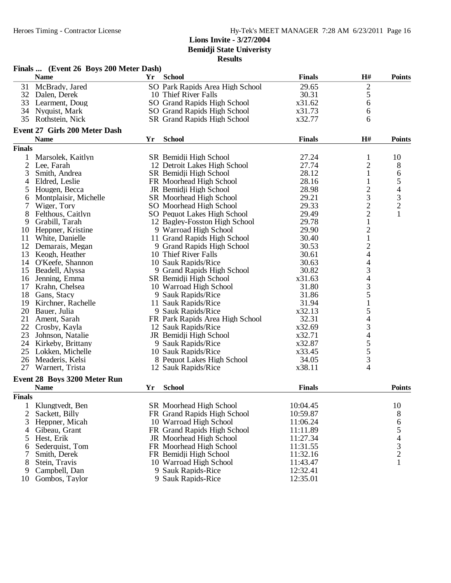|                | Finals  (Event 26 Boys 200 Meter Dash) |    |                                 |               |                                            |                          |
|----------------|----------------------------------------|----|---------------------------------|---------------|--------------------------------------------|--------------------------|
|                | <b>Name</b>                            | Yr | <b>School</b>                   | <b>Finals</b> | H#                                         | <b>Points</b>            |
| 31             | McBrady, Jared                         |    | SO Park Rapids Area High School | 29.65         |                                            |                          |
|                | 32 Dalen, Derek                        |    | 10 Thief River Falls            | 30.31         | $rac{2}{5}$                                |                          |
|                | 33 Learment, Doug                      |    | SO Grand Rapids High School     | x31.62        | 6                                          |                          |
| 34             | Nyquist, Mark                          |    | SO Grand Rapids High School     | x31.73        | 6                                          |                          |
| 35             | Rothstein, Nick                        |    | SR Grand Rapids High School     | x32.77        | 6                                          |                          |
|                |                                        |    |                                 |               |                                            |                          |
|                | Event 27 Girls 200 Meter Dash          |    |                                 |               |                                            |                          |
|                | <b>Name</b>                            | Yr | <b>School</b>                   | <b>Finals</b> | H#                                         | <b>Points</b>            |
| <b>Finals</b>  |                                        |    |                                 |               |                                            |                          |
| 1              | Marsolek, Kaitlyn                      |    | SR Bemidji High School          | 27.24         | $\mathbf{1}$                               | 10                       |
| $\mathfrak{2}$ | Lee, Farah                             |    | 12 Detroit Lakes High School    | 27.74         | $\overline{\mathbf{c}}$                    | 8                        |
| 3              | Smith, Andrea                          |    | SR Bemidji High School          | 28.12         | $\mathbf{1}$                               | 6                        |
| 4              | Eldred, Leslie                         |    | FR Moorhead High School         | 28.16         | 1                                          | 5                        |
| 5              | Hougen, Becca                          |    | JR Bemidji High School          | 28.98         | $\frac{2}{3}$                              | $\overline{\mathcal{A}}$ |
| 6              | Montplaisir, Michelle                  |    | SR Moorhead High School         | 29.21         |                                            | $\mathfrak{Z}$           |
| 7              | Wiger, Tory                            |    | SO Moorhead High School         | 29.33         |                                            | $\sqrt{2}$               |
| 8              | Felthous, Caitlyn                      |    | SO Pequot Lakes High School     | 29.49         | $\frac{2}{1}$                              | $\mathbf{1}$             |
| 9              | Grabill, Tarah                         |    | 12 Bagley-Fosston High School   | 29.78         |                                            |                          |
| 10             | Heppner, Kristine                      |    | 9 Warroad High School           | 29.90         |                                            |                          |
| 11             | White, Danielle                        |    | 11 Grand Rapids High School     | 30.40         | $\frac{2}{1}$                              |                          |
| 12             | Demarais, Megan                        |    | 9 Grand Rapids High School      | 30.53         | $\overline{c}$                             |                          |
| 13             | Keogh, Heather                         |    | 10 Thief River Falls            | 30.61         | 4                                          |                          |
| 14             | O'Keefe, Shannon                       |    | 10 Sauk Rapids/Rice             | 30.63         | $\overline{\mathcal{L}}$                   |                          |
| 15             | Beadell, Alyssa                        |    | 9 Grand Rapids High School      | 30.82         | 3                                          |                          |
| 16             | Jenning, Emma                          |    | SR Bemidji High School          | x31.63        |                                            |                          |
| 17             | Krahn, Chelsea                         |    | 10 Warroad High School          | 31.80         |                                            |                          |
| 18             | Gans, Stacy                            |    | 9 Sauk Rapids/Rice              | 31.86         | $\begin{array}{c} 4 \\ 3 \\ 5 \end{array}$ |                          |
| 19             | Kirchner, Rachelle                     |    | 11 Sauk Rapids/Rice             | 31.94         | $\,1$                                      |                          |
| 20             | Bauer, Julia                           |    | 9 Sauk Rapids/Rice              | x32.13        |                                            |                          |
| 21             | Ament, Sarah                           |    | FR Park Rapids Area High School | 32.31         | 54<br>34<br>4                              |                          |
| 22             | Crosby, Kayla                          |    | 12 Sauk Rapids/Rice             | x32.69        |                                            |                          |
| 23             | Johnson, Natalie                       |    | JR Bemidji High School          | x32.71        |                                            |                          |
| 24             | Kirkeby, Brittany                      |    | 9 Sauk Rapids/Rice              | x32.87        |                                            |                          |
| 25             | Lokken, Michelle                       |    | 10 Sauk Rapids/Rice             | x33.45        | $\frac{5}{5}$                              |                          |
| 26             | Meaderis, Kelsi                        |    | 8 Pequot Lakes High School      | 34.05         |                                            |                          |
| 27             | Warnert, Trista                        |    | 12 Sauk Rapids/Rice             | x38.11        | $\frac{3}{4}$                              |                          |
|                |                                        |    |                                 |               |                                            |                          |
|                | Event 28 Boys 3200 Meter Run           |    |                                 |               |                                            |                          |
|                | <b>Name</b>                            | Yr | <b>School</b>                   | <b>Finals</b> |                                            | <b>Points</b>            |
| <b>Finals</b>  |                                        |    |                                 |               |                                            |                          |
| 1              | Klungtvedt, Ben                        |    | SR Moorhead High School         | 10:04.45      |                                            | 10                       |
| 2              | Sackett, Billy                         |    | FR Grand Rapids High School     | 10:59.87      |                                            | 8                        |
| 3              | Heppner, Micah                         |    | 10 Warroad High School          | 11:06.24      |                                            | 6                        |
| 4              | Gibeau, Grant                          |    | FR Grand Rapids High School     | 11:11.89      |                                            |                          |
| 5              | Hest, Erik                             |    | JR Moorhead High School         | 11:27.34      |                                            | 54321                    |
| 6              | Sederquist, Tom                        |    | FR Moorhead High School         | 11:31.55      |                                            |                          |
| 7              | Smith, Derek                           |    | FR Bemidji High School          | 11:32.16      |                                            |                          |
| 8              | Stein, Travis                          |    | 10 Warroad High School          | 11:43.47      |                                            |                          |
| 9              | Campbell, Dan                          |    | 9 Sauk Rapids-Rice              | 12:32.41      |                                            |                          |
| 10             | Gombos, Taylor                         |    | 9 Sauk Rapids-Rice              | 12:35.01      |                                            |                          |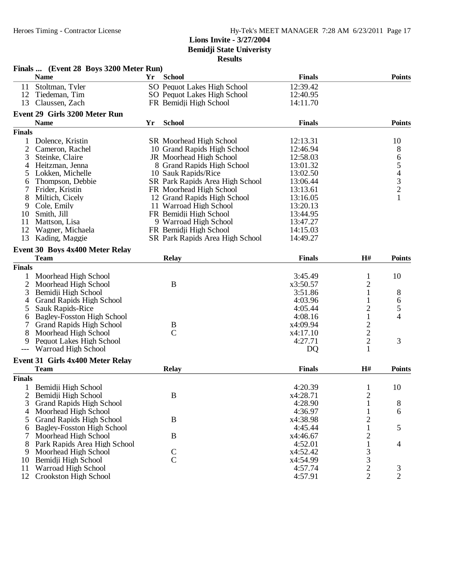|                | Finals  (Event 28 Boys 3200 Meter Run) |    |                                 |               |                         |                |
|----------------|----------------------------------------|----|---------------------------------|---------------|-------------------------|----------------|
|                | <b>Name</b>                            | Yr | <b>School</b>                   | <b>Finals</b> |                         | <b>Points</b>  |
| 11             | Stoltman, Tyler                        |    | SO Pequot Lakes High School     | 12:39.42      |                         |                |
| 12             | Tiedeman, Tim                          |    | SO Pequot Lakes High School     | 12:40.95      |                         |                |
| 13             | Claussen, Zach                         |    | FR Bemidji High School          | 14:11.70      |                         |                |
|                | Event 29 Girls 3200 Meter Run          |    |                                 |               |                         |                |
|                | <b>Name</b>                            | Yr | <b>School</b>                   | <b>Finals</b> |                         | <b>Points</b>  |
|                |                                        |    |                                 |               |                         |                |
| <b>Finals</b>  |                                        |    |                                 |               |                         |                |
| 1              | Dolence, Kristin                       |    | SR Moorhead High School         | 12:13.31      |                         | 10             |
| 2              | Cameron, Rachel                        |    | 10 Grand Rapids High School     | 12:46.94      |                         | 8              |
| 3              | Steinke, Claire                        |    | JR Moorhead High School         | 12:58.03      |                         | 6              |
| 4              | Heitzman, Jenna                        |    | 8 Grand Rapids High School      | 13:01.32      |                         | 54321          |
| 5              | Lokken, Michelle                       |    | 10 Sauk Rapids/Rice             | 13:02.50      |                         |                |
| 6              | Thompson, Debbie                       |    | SR Park Rapids Area High School | 13:06.44      |                         |                |
| 7              | Frider, Kristin                        |    | FR Moorhead High School         | 13:13.61      |                         |                |
| 8              | Miltich, Cicely                        |    | 12 Grand Rapids High School     | 13:16.05      |                         |                |
| 9              | Cole, Emily                            |    | 11 Warroad High School          | 13:20.13      |                         |                |
| 10             | Smith, Jill                            |    | FR Bemidji High School          | 13:44.95      |                         |                |
| 11             | Mattson, Lisa                          |    | 9 Warroad High School           | 13:47.27      |                         |                |
| 12             | Wagner, Michaela                       |    | FR Bemidji High School          | 14:15.03      |                         |                |
| 13             | Kading, Maggie                         |    | SR Park Rapids Area High School | 14:49.27      |                         |                |
|                | Event 30 Boys 4x400 Meter Relay        |    |                                 |               |                         |                |
|                | <b>Team</b>                            |    | <b>Relay</b>                    | <b>Finals</b> | H#                      | <b>Points</b>  |
| <b>Finals</b>  |                                        |    |                                 |               |                         |                |
|                | Moorhead High School                   |    |                                 | 3:45.49       | 1                       | 10             |
| 2              | Moorhead High School                   |    | B                               | x3:50.57      | $\overline{c}$          |                |
| 3              | Bemidji High School                    |    |                                 | 3:51.86       | $\mathbf{1}$            | 8              |
| 4              | <b>Grand Rapids High School</b>        |    |                                 | 4:03.96       | 1                       |                |
|                |                                        |    |                                 |               |                         | 6              |
| 5              | <b>Sauk Rapids-Rice</b>                |    |                                 | 4:05.44       | $\overline{c}$          | 5<br>4         |
| 6              | Bagley-Fosston High School             |    |                                 | 4:08.16       | $\mathbf{1}$            |                |
|                | <b>Grand Rapids High School</b>        |    | B<br>$\mathbf C$                | x4:09.94      |                         |                |
| 8              | Moorhead High School                   |    |                                 | x4:17.10      | $\frac{2}{2}$           |                |
| 9              | Pequot Lakes High School               |    |                                 | 4:27.71       |                         | 3              |
|                | Warroad High School                    |    |                                 | DQ            | $\mathbf{1}$            |                |
|                | Event 31 Girls 4x400 Meter Relay       |    |                                 |               |                         |                |
|                | <b>Team</b>                            |    | <b>Relay</b>                    | <b>Finals</b> | H#                      | <b>Points</b>  |
| <b>Finals</b>  |                                        |    |                                 |               |                         |                |
|                | 1 Bemidji High School                  |    |                                 | 4:20.39       | 1                       | 10             |
| $\overline{2}$ | Bemidji High School                    |    | $\, {\bf B}$                    | x4:28.71      | $\overline{c}$          |                |
| 3              | <b>Grand Rapids High School</b>        |    |                                 | 4:28.90       | $\mathbf{1}$            | 8              |
| $\overline{4}$ | Moorhead High School                   |    |                                 | 4:36.97       | $\mathbf{1}$            | 6              |
| 5              | <b>Grand Rapids High School</b>        |    | $\bf{B}$                        | x4:38.98      | $\overline{\mathbf{c}}$ |                |
| 6              | <b>Bagley-Fosston High School</b>      |    |                                 | 4:45.44       |                         | 5              |
| 7              | Moorhead High School                   |    | B                               | x4:46.67      | 2                       |                |
| 8              | Park Rapids Area High School           |    |                                 | 4:52.01       | 1                       | 4              |
| 9              | Moorhead High School                   |    |                                 | x4:52.42      |                         |                |
| 10             | Bemidji High School                    |    | $\frac{C}{C}$                   | x4:54.99      | $\frac{3}{3}$           |                |
| 11             | Warroad High School                    |    |                                 | 4:57.74       |                         | $\mathfrak{Z}$ |
| 12             | Crookston High School                  |    |                                 | 4:57.91       | $\frac{2}{2}$           | $\overline{2}$ |
|                |                                        |    |                                 |               |                         |                |